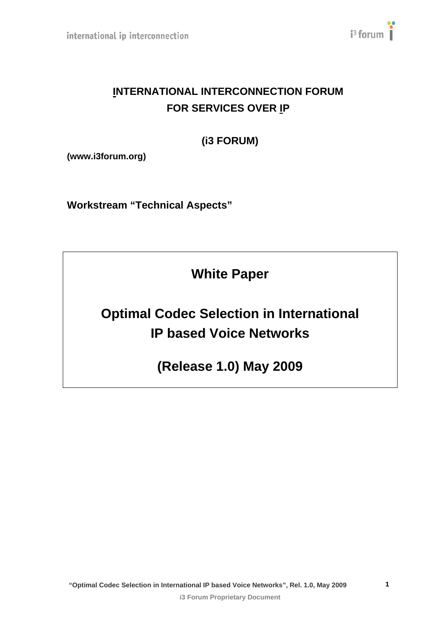

# **INTERNATIONAL INTERCONNECTION FORUM FOR SERVICES OVER IP**

# **(i3 FORUM)**

**(www.i3forum.org)** 

**Workstream "Technical Aspects"** 

**White Paper** 

# **Optimal Codec Selection in International IP based Voice Networks**

**(Release 1.0) May 2009** 

**1**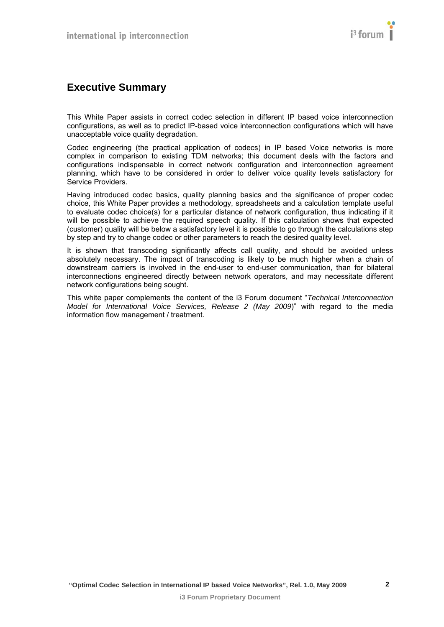# <span id="page-1-1"></span><span id="page-1-0"></span>**Executive Summary**

This White Paper assists in correct codec selection in different IP based voice interconnection configurations, as well as to predict IP-based voice interconnection configurations which will have unacceptable voice quality degradation.

Codec engineering (the practical application of codecs) in IP based Voice networks is more complex in comparison to existing TDM networks; this document deals with the factors and configurations indispensable in correct network configuration and interconnection agreement planning, which have to be considered in order to deliver voice quality levels satisfactory for Service Providers.

Having introduced codec basics, quality planning basics and the significance of proper codec choice, this White Paper provides a methodology, spreadsheets and a calculation template useful to evaluate codec choice(s) for a particular distance of network configuration, thus indicating if it will be possible to achieve the required speech quality. If this calculation shows that expected (customer) quality will be below a satisfactory level it is possible to go through the calculations step by step and try to change codec or other parameters to reach the desired quality level.

It is shown that transcoding significantly affects call quality, and should be avoided unless absolutely necessary. The impact of transcoding is likely to be much higher when a chain of downstream carriers is involved in the end-user to end-user communication, than for bilateral interconnections engineered directly between network operators, and may necessitate different network configurations being sought.

This white paper complements the content of the i3 Forum document "*Technical Interconnection Model for International Voice Services, Release 2 (May 2009*)" with regard to the media information flow management / treatment.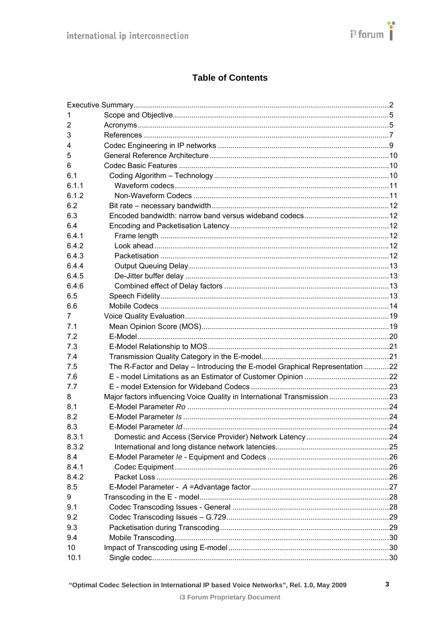## **Table of Contents**

| 1              |                                                                              |  |
|----------------|------------------------------------------------------------------------------|--|
| $\overline{2}$ |                                                                              |  |
| 3              |                                                                              |  |
| 4              |                                                                              |  |
| 5              |                                                                              |  |
| 6              |                                                                              |  |
| 6.1            |                                                                              |  |
| 6.1.1          |                                                                              |  |
| 6.1.2          |                                                                              |  |
| 6.2            |                                                                              |  |
| 6.3            |                                                                              |  |
| 6.4            |                                                                              |  |
| 6.4.1          |                                                                              |  |
| 6.4.2          |                                                                              |  |
| 6.4.3          |                                                                              |  |
| 6.4.4          |                                                                              |  |
| 6.4.5          |                                                                              |  |
| 6.4.6          |                                                                              |  |
| 6.5            |                                                                              |  |
| 6.6            |                                                                              |  |
| 7              |                                                                              |  |
| 7.1            |                                                                              |  |
| 7.2            |                                                                              |  |
| 7.3            |                                                                              |  |
| 7.4            |                                                                              |  |
| 7.5            | The R-Factor and Delay - Introducing the E-model Graphical Representation 22 |  |
| 7.6            |                                                                              |  |
| 7.7            |                                                                              |  |
| 8              | Major factors influencing Voice Quality in International Transmission 23     |  |
| 8.1            |                                                                              |  |
| 8.2            |                                                                              |  |
| 8.3            |                                                                              |  |
| 8.3.1          |                                                                              |  |
| 8.3.2          |                                                                              |  |
| 8.4            |                                                                              |  |
| 8.4.1          |                                                                              |  |
| 8.4.2          |                                                                              |  |
| 8.5            |                                                                              |  |
| 9              |                                                                              |  |
| 9.1            |                                                                              |  |
| 9.2            |                                                                              |  |
| 9.3            |                                                                              |  |
| 9.4            |                                                                              |  |
| 10             |                                                                              |  |
| 10.1           |                                                                              |  |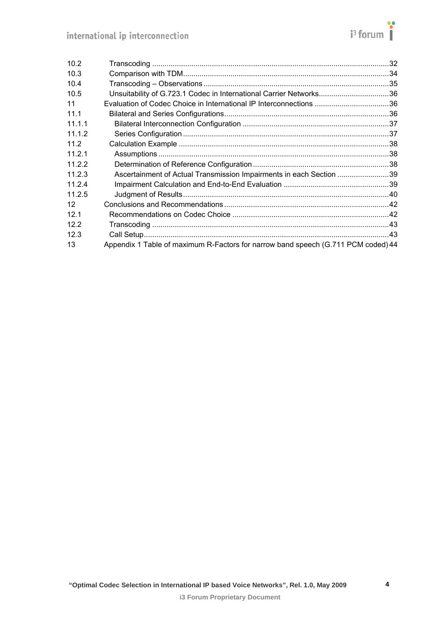| 10.2   |                                                                                   |  |
|--------|-----------------------------------------------------------------------------------|--|
| 10.3   |                                                                                   |  |
| 10.4   |                                                                                   |  |
| 10.5   | Unsuitability of G.723.1 Codec in International Carrier Networks36                |  |
| 11     | Evaluation of Codec Choice in International IP Interconnections 36                |  |
| 11.1   |                                                                                   |  |
| 11.1.1 |                                                                                   |  |
| 11.1.2 |                                                                                   |  |
| 11.2   |                                                                                   |  |
| 11.2.1 |                                                                                   |  |
| 11.2.2 |                                                                                   |  |
| 11.2.3 | Ascertainment of Actual Transmission Impairments in each Section 39               |  |
| 11.2.4 |                                                                                   |  |
| 11.2.5 |                                                                                   |  |
| 12     |                                                                                   |  |
| 12.1   |                                                                                   |  |
| 12.2   |                                                                                   |  |
| 12.3   |                                                                                   |  |
| 13     | Appendix 1 Table of maximum R-Factors for narrow band speech (G.711 PCM coded) 44 |  |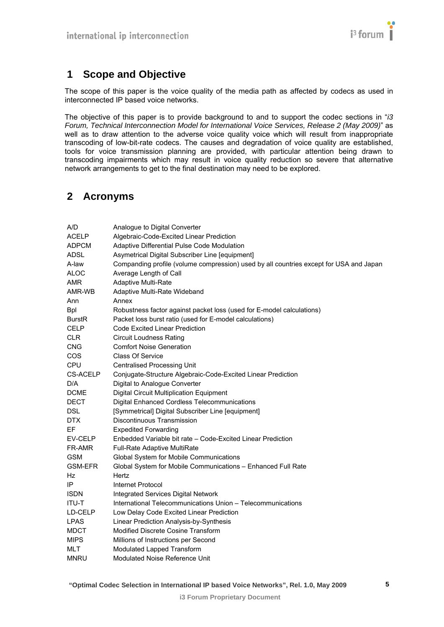

# <span id="page-4-1"></span><span id="page-4-0"></span>**1 Scope and Objective**

The scope of this paper is the voice quality of the media path as affected by codecs as used in interconnected IP based voice networks.

The objective of this paper is to provide background to and to support the codec sections in "*i3 Forum, Technical Interconnection Model for International Voice Services, Release 2 (May 2009)*" as well as to draw attention to the adverse voice quality voice which will result from inappropriate transcoding of low-bit-rate codecs. The causes and degradation of voice quality are established, tools for voice transmission planning are provided, with particular attention being drawn to transcoding impairments which may result in voice quality reduction so severe that alternative network arrangements to get to the final destination may need to be explored.

# <span id="page-4-2"></span>**2 Acronyms**

| Analogue to Digital Converter                                                          |
|----------------------------------------------------------------------------------------|
| Algebraic-Code-Excited Linear Prediction                                               |
| Adaptive Differential Pulse Code Modulation                                            |
| Asymetrical Digital Subscriber Line [equipment]                                        |
| Companding profile (volume compression) used by all countries except for USA and Japan |
| Average Length of Call                                                                 |
| Adaptive Multi-Rate                                                                    |
| Adaptive Multi-Rate Wideband                                                           |
| Annex                                                                                  |
| Robustness factor against packet loss (used for E-model calculations)                  |
| Packet loss burst ratio (used for E-model calculations)                                |
| Code Excited Linear Prediction                                                         |
| <b>Circuit Loudness Rating</b>                                                         |
| <b>Comfort Noise Generation</b>                                                        |
| <b>Class Of Service</b>                                                                |
| <b>Centralised Processing Unit</b>                                                     |
| Conjugate-Structure Algebraic-Code-Excited Linear Prediction                           |
| Digital to Analogue Converter                                                          |
| Digital Circuit Multiplication Equipment                                               |
| Digital Enhanced Cordless Telecommunications                                           |
| [Symmetrical] Digital Subscriber Line [equipment]                                      |
| Discontinuous Transmission                                                             |
| <b>Expedited Forwarding</b>                                                            |
| Enbedded Variable bit rate – Code-Excited Linear Prediction                            |
| Full-Rate Adaptive MultiRate                                                           |
| Global System for Mobile Communications                                                |
| Global System for Mobile Communications - Enhanced Full Rate                           |
| Hertz                                                                                  |
| Internet Protocol                                                                      |
| Integrated Services Digital Network                                                    |
| International Telecommunications Union - Telecommunications                            |
| Low Delay Code Excited Linear Prediction                                               |
| Linear Prediction Analysis-by-Synthesis                                                |
| Modified Discrete Cosine Transform                                                     |
| Millions of Instructions per Second                                                    |
| Modulated Lapped Transform                                                             |
| Modulated Noise Reference Unit                                                         |
|                                                                                        |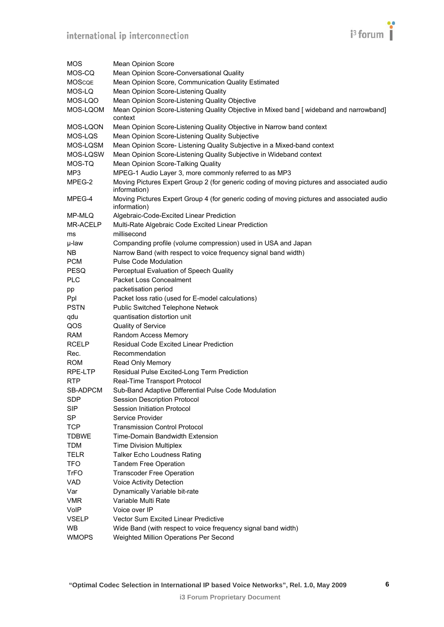

| MOS           | <b>Mean Opinion Score</b>                                                                                  |
|---------------|------------------------------------------------------------------------------------------------------------|
| MOS-CQ        | Mean Opinion Score-Conversational Quality                                                                  |
| <b>MOSCQE</b> | Mean Opinion Score, Communication Quality Estimated                                                        |
| MOS-LQ        | Mean Opinion Score-Listening Quality                                                                       |
| MOS-LQO       | Mean Opinion Score-Listening Quality Objective                                                             |
| MOS-LQOM      | Mean Opinion Score-Listening Quality Objective in Mixed band [ wideband and narrowband]<br>context         |
| MOS-LQON      | Mean Opinion Score-Listening Quality Objective in Narrow band context                                      |
| MOS-LQS       | Mean Opinion Score-Listening Quality Subjective                                                            |
| MOS-LQSM      | Mean Opinion Score- Listening Quality Subjective in a Mixed-band context                                   |
| MOS-LQSW      | Mean Opinion Score-Listening Quality Subjective in Wideband context                                        |
| MOS-TQ        | Mean Opinion Score-Talking Quality                                                                         |
| MP3           | MPEG-1 Audio Layer 3, more commonly referred to as MP3                                                     |
| MPEG-2        | Moving Pictures Expert Group 2 (for generic coding of moving pictures and associated audio<br>information) |
| MPEG-4        | Moving Pictures Expert Group 4 (for generic coding of moving pictures and associated audio<br>information) |
| MP-MLQ        | Algebraic-Code-Excited Linear Prediction                                                                   |
| MR-ACELP      | Multi-Rate Algebraic Code Excited Linear Prediction                                                        |
| ms            | millisecond                                                                                                |
| µ-law         | Companding profile (volume compression) used in USA and Japan                                              |
| NB.           | Narrow Band (with respect to voice frequency signal band width)                                            |
| <b>PCM</b>    | Pulse Code Modulation                                                                                      |
| <b>PESQ</b>   | Perceptual Evaluation of Speech Quality                                                                    |
| <b>PLC</b>    | <b>Packet Loss Concealment</b>                                                                             |
| pp            | packetisation period                                                                                       |
| Ppl           | Packet loss ratio (used for E-model calculations)                                                          |
| <b>PSTN</b>   | Public Switched Telephone Netwok                                                                           |
| qdu           | quantisation distortion unit                                                                               |
| QOS           | Quality of Service                                                                                         |
| <b>RAM</b>    | Random Access Memory                                                                                       |
| <b>RCELP</b>  | <b>Residual Code Excited Linear Prediction</b>                                                             |
| Rec.          | Recommendation                                                                                             |
| <b>ROM</b>    | Read Only Memory                                                                                           |
| RPE-LTP       | Residual Pulse Excited-Long Term Prediction                                                                |
| <b>RTP</b>    | Real-Time Transport Protocol                                                                               |
| SB-ADPCM      | Sub-Band Adaptive Differential Pulse Code Modulation                                                       |
| <b>SDP</b>    | <b>Session Description Protocol</b>                                                                        |
| <b>SIP</b>    | Session Initiation Protocol                                                                                |
| <b>SP</b>     | Service Provider                                                                                           |
| <b>TCP</b>    | <b>Transmission Control Protocol</b>                                                                       |
| <b>TDBWE</b>  | Time-Domain Bandwidth Extension                                                                            |
| <b>TDM</b>    | <b>Time Division Multiplex</b>                                                                             |
| <b>TELR</b>   | <b>Talker Echo Loudness Rating</b>                                                                         |
| <b>TFO</b>    | <b>Tandem Free Operation</b>                                                                               |
| <b>TrFO</b>   | <b>Transcoder Free Operation</b>                                                                           |
| VAD.          | Voice Activity Detection                                                                                   |
| Var           | Dynamically Variable bit-rate                                                                              |
| <b>VMR</b>    | Variable Multi Rate                                                                                        |
| VoIP          | Voice over IP                                                                                              |
| <b>VSELP</b>  | Vector Sum Excited Linear Predictive                                                                       |
| <b>WB</b>     | Wide Band (with respect to voice frequency signal band width)                                              |
| <b>WMOPS</b>  | Weighted Million Operations Per Second                                                                     |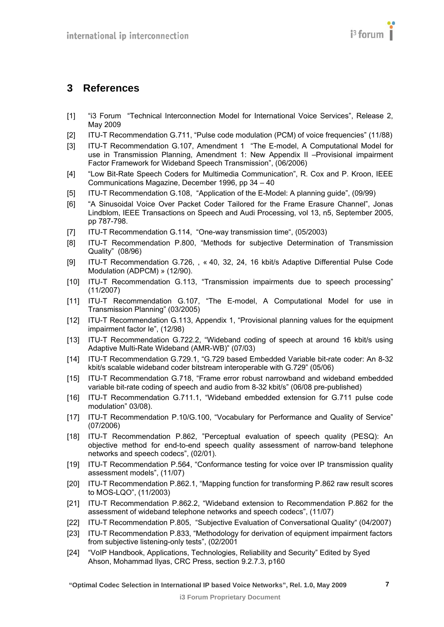# <span id="page-6-19"></span><span id="page-6-18"></span><span id="page-6-17"></span><span id="page-6-16"></span><span id="page-6-15"></span><span id="page-6-14"></span><span id="page-6-13"></span><span id="page-6-12"></span><span id="page-6-11"></span><span id="page-6-10"></span><span id="page-6-1"></span><span id="page-6-0"></span>**3 References**

- <span id="page-6-2"></span>[1] "i3 Forum "Technical Interconnection Model for International Voice Services", Release 2, May 2009
- <span id="page-6-3"></span>[2] ITU-T Recommendation G.711, "Pulse code modulation (PCM) of voice frequencies" (11/88)
- <span id="page-6-4"></span>[3] ITU-T Recommendation G.107, Amendment 1 "The E-model, A Computational Model for use in Transmission Planning, Amendment 1: New Appendix II –Provisional impairment Factor Framework for Wideband Speech Transmission", (06/2006)
- <span id="page-6-5"></span>[4] "Low Bit-Rate Speech Coders for Multimedia Communication", R. Cox and P. Kroon, IEEE Communications Magazine, December 1996, pp 34 – 40
- <span id="page-6-6"></span>[5] ITU-T Recommendation G.108, "Application of the E-Model: A planning guide", (09/99)
- <span id="page-6-7"></span>[6] "A Sinusoidal Voice Over Packet Coder Tailored for the Frame Erasure Channel", Jonas Lindblom, IEEE Transactions on Speech and Audi Processing, vol 13, n5, September 2005, pp 787-798.
- <span id="page-6-8"></span>[7] ITU-T Recommendation G.114, "One-way transmission time", (05/2003)
- <span id="page-6-9"></span>[8] ITU-T Recommendation P.800, "Methods for subjective Determination of Transmission Quality" (08/96)
- <span id="page-6-30"></span>[9] ITU-T Recommendation G.726, , « 40, 32, 24, 16 kbit/s Adaptive Differential Pulse Code Modulation (ADPCM) » (12/90).
- <span id="page-6-28"></span>[10] ITU-T Recommendation G.113, "Transmission impairments due to speech processing" (11/2007)
- <span id="page-6-27"></span>[11] ITU-T Recommendation G.107, "The E-model, A Computational Model for use in Transmission Planning" (03/2005)
- <span id="page-6-29"></span>[12] ITU-T Recommendation G.113, Appendix 1, "Provisional planning values for the equipment impairment factor Ie", (12/98)
- [13] ITU-T Recommendation G.722.2, "Wideband coding of speech at around 16 kbit/s using Adaptive Multi-Rate Wideband (AMR-WB)" (07/03)
- [14] ITU-T Recommendation G.729.1, "G.729 based Embedded Variable bit-rate coder: An 8-32 kbit/s scalable wideband coder bitstream interoperable with G.729" (05/06)
- [15] ITU-T Recommendation G.718, "Frame error robust narrowband and wideband embedded variable bit-rate coding of speech and audio from 8-32 kbit/s" (06/08 pre-published)
- [16] ITU-T Recommendation G.711.1, "Wideband embedded extension for G.711 pulse code modulation" 03/08).
- <span id="page-6-20"></span>[17] ITU-T Recommendation P.10/G.100, "Vocabulary for Performance and Quality of Service" (07/2006)
- <span id="page-6-21"></span>[18] ITU-T Recommendation P.862, "Perceptual evaluation of speech quality (PESQ): An objective method for end-to-end speech quality assessment of narrow-band telephone networks and speech codecs", (02/01).
- <span id="page-6-22"></span>[19] ITU-T Recommendation P.564, "Conformance testing for voice over IP transmission quality assessment models", (11/07)
- <span id="page-6-23"></span>[20] ITU-T Recommendation P.862.1, "Mapping function for transforming P.862 raw result scores to MOS-LQO", (11/2003)
- <span id="page-6-24"></span>[21] ITU-T Recommendation P.862.2, "Wideband extension to Recommendation P.862 for the assessment of wideband telephone networks and speech codecs", (11/07)
- <span id="page-6-25"></span>[22] ITU-T Recommendation P.805, "Subjective Evaluation of Conversational Quality" (04/2007)
- <span id="page-6-26"></span>[23] ITU-T Recommendation P.833, "Methodology for derivation of equipment impairment factors from subjective listening-only tests", (02/2001
- [24] "VoIP Handbook, Applications, Technologies, Reliability and Security" Edited by Syed Ahson, Mohammad Ilyas, CRC Press, section 9.2.7.3, p160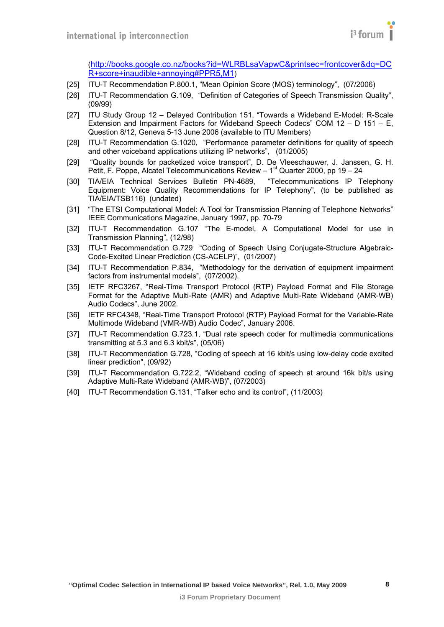

([http://books.google.co.nz/books?id=WLRBLsaVapwC&printsec=frontcover&dq=DC](http://books.google.co.nz/books?id=WLRBLsaVapwC&printsec=frontcover&dq=DCR+score+inaudible+annoying#PPR5,M1) [R+score+inaudible+annoying#PPR5,M1](http://books.google.co.nz/books?id=WLRBLsaVapwC&printsec=frontcover&dq=DCR+score+inaudible+annoying#PPR5,M1))

- <span id="page-7-1"></span><span id="page-7-0"></span>[25] ITU-T Recommendation P.800.1, "Mean Opinion Score (MOS) terminology", (07/2006)
- <span id="page-7-2"></span>[26] ITU-T Recommendation G.109, "Definition of Categories of Speech Transmission Quality", (09/99)
- <span id="page-7-3"></span>[27] ITU Study Group 12 – Delayed Contribution 151, "Towards a Wideband E-Model: R-Scale Extension and Impairment Factors for Wideband Speech Codecs" COM 12 – D 151 – E, Question 8/12, Geneva 5-13 June 2006 (available to ITU Members)
- <span id="page-7-4"></span>[28] ITU-T Recommendation G.1020, "Performance parameter definitions for quality of speech and other voiceband applications utilizing IP networks", (01/2005)
- <span id="page-7-5"></span>[29] "Quality bounds for packetized voice transport", D. De Vleeschauwer, J. Janssen, G. H. Petit, F. Poppe, Alcatel Telecommunications Review – 1<sup>st</sup> Quarter 2000, pp 19 – 24
- <span id="page-7-6"></span>[30] TIA/EIA Technical Services Bulletin PN-4689, "Telecommunications IP Telephony Equipment: Voice Quality Recommendations for IP Telephony", (to be published as TIA/EIA/TSB116) (undated)
- <span id="page-7-9"></span>[31] "The ETSI Computational Model: A Tool for Transmission Planning of Telephone Networks" IEEE Communications Magazine, January 1997, pp. 70-79
- <span id="page-7-8"></span>[32] ITU-T Recommendation G.107 "The E-model, A Computational Model for use in Transmission Planning", (12/98)
- <span id="page-7-7"></span>[33] ITU-T Recommendation G.729 "Coding of Speech Using Conjugate-Structure Algebraic-Code-Excited Linear Prediction (CS-ACELP)", (01/2007)
- [34] ITU-T Recommendation P.834, "Methodology for the derivation of equipment impairment factors from instrumental models", (07/2002).
- <span id="page-7-10"></span>[35] IETF RFC3267, "Real-Time Transport Protocol (RTP) Payload Format and File Storage Format for the Adaptive Multi-Rate (AMR) and Adaptive Multi-Rate Wideband (AMR-WB) Audio Codecs", June 2002.
- <span id="page-7-11"></span>[36] IETF RFC4348, "Real-Time Transport Protocol (RTP) Payload Format for the Variable-Rate Multimode Wideband (VMR-WB) Audio Codec", January 2006.
- <span id="page-7-12"></span>[37] ITU-T Recommendation G.723.1, "Dual rate speech coder for multimedia communications transmitting at 5.3 and 6.3 kbit/s", (05/06)
- <span id="page-7-13"></span>[38] ITU-T Recommendation G.728, "Coding of speech at 16 kbit/s using low-delay code excited linear prediction", (09/92)
- <span id="page-7-14"></span>[39] ITU-T Recommendation G.722.2, "Wideband coding of speech at around 16k bit/s using Adaptive Multi-Rate Wideband (AMR-WB)", (07/2003)
- <span id="page-7-15"></span>[40] ITU-T Recommendation G.131, "Talker echo and its control", (11/2003)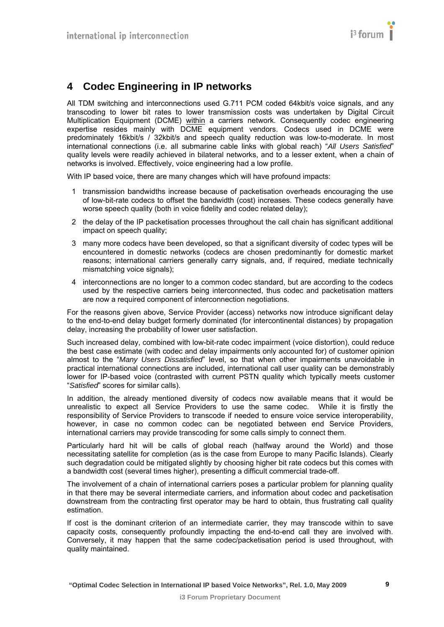# <span id="page-8-1"></span><span id="page-8-0"></span>**4 Codec Engineering in IP networks**

All TDM switching and interconnections used G.711 PCM coded 64kbit/s voice signals, and any transcoding to lower bit rates to lower transmission costs was undertaken by Digital Circuit Multiplication Equipment (DCME) within a carriers network. Consequently codec engineering expertise resides mainly with DCME equipment vendors. Codecs used in DCME were predominately 16kbit/s / 32kbit/s and speech quality reduction was low-to-moderate. In most international connections (i.e. all submarine cable links with global reach) "*All Users Satisfied*" quality levels were readily achieved in bilateral networks, and to a lesser extent, when a chain of networks is involved. Effectively, voice engineering had a low profile.

With IP based voice, there are many changes which will have profound impacts:

- 1 transmission bandwidths increase because of packetisation overheads encouraging the use of low-bit-rate codecs to offset the bandwidth (cost) increases. These codecs generally have worse speech quality (both in voice fidelity and codec related delay);
- 2 the delay of the IP packetisation processes throughout the call chain has significant additional impact on speech quality;
- 3 many more codecs have been developed, so that a significant diversity of codec types will be encountered in domestic networks (codecs are chosen predominantly for domestic market reasons; international carriers generally carry signals, and, if required, mediate technically mismatching voice signals);
- 4 interconnections are no longer to a common codec standard, but are according to the codecs used by the respective carriers being interconnected, thus codec and packetisation matters are now a required component of interconnection negotiations.

For the reasons given above, Service Provider (access) networks now introduce significant delay to the end-to-end delay budget formerly dominated (for intercontinental distances) by propagation delay, increasing the probability of lower user satisfaction.

Such increased delay, combined with low-bit-rate codec impairment (voice distortion), could reduce the best case estimate (with codec and delay impairments only accounted for) of customer opinion almost to the "*Many Users Dissatisfied*" level, so that when other impairments unavoidable in practical international connections are included, international call user quality can be demonstrably lower for IP-based voice (contrasted with current PSTN quality which typically meets customer "*Satisfied*" scores for similar calls).

In addition, the already mentioned diversity of codecs now available means that it would be unrealistic to expect all Service Providers to use the same codec. While it is firstly the responsibility of Service Providers to transcode if needed to ensure voice service interoperability, however, in case no common codec can be negotiated between end Service Providers, international carriers may provide transcoding for some calls simply to connect them.

Particularly hard hit will be calls of global reach (halfway around the World) and those necessitating satellite for completion (as is the case from Europe to many Pacific Islands). Clearly such degradation could be mitigated slightly by choosing higher bit rate codecs but this comes with a bandwidth cost (several times higher), presenting a difficult commercial trade-off.

The involvement of a chain of international carriers poses a particular problem for planning quality in that there may be several intermediate carriers, and information about codec and packetisation downstream from the contracting first operator may be hard to obtain, thus frustrating call quality estimation.

If cost is the dominant criterion of an intermediate carrier, they may transcode within to save capacity costs, consequently profoundly impacting the end-to-end call they are involved with. Conversely, it may happen that the same codec/packetisation period is used throughout, with quality maintained.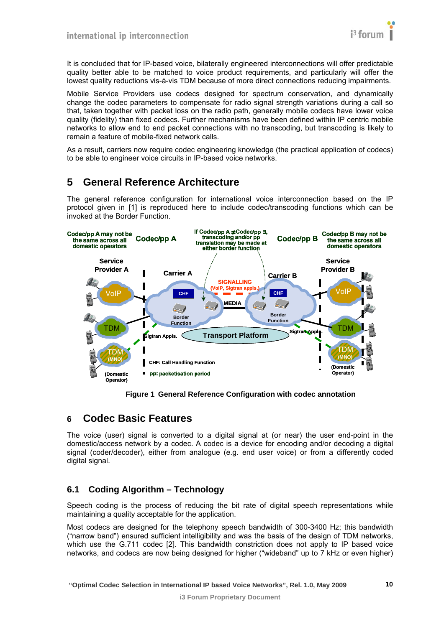

<span id="page-9-0"></span>It is concluded that for IP-based voice, bilaterally engineered interconnections will offer predictable quality better able to be matched to voice product requirements, and particularly will offer the lowest quality reductions vis-à-vis TDM because of more direct connections reducing impairments.

Mobile Service Providers use codecs designed for spectrum conservation, and dynamically change the codec parameters to compensate for radio signal strength variations during a call so that, taken together with packet loss on the radio path, generally mobile codecs have lower voice quality (fidelity) than fixed codecs. Further mechanisms have been defined within IP centric mobile networks to allow end to end packet connections with no transcoding, but transcoding is likely to remain a feature of mobile-fixed network calls.

As a result, carriers now require codec engineering knowledge (the practical application of codecs) to be able to engineer voice circuits in IP-based voice networks.

## <span id="page-9-1"></span>**5 General Reference Architecture**

The general reference configuration for international voice interconnection based on the IP protocol given in [\[1\]](#page-6-2) is reproduced here to include codec/transcoding functions which can be invoked at the Border Function.



**Figure 1 General Reference Configuration with codec annotation** 

## <span id="page-9-2"></span>**6 Codec Basic Features**

The voice (user) signal is converted to a digital signal at (or near) the user end-point in the domestic/access network by a codec. A codec is a device for encoding and/or decoding a digital signal (coder/decoder), either from analogue (e.g. end user voice) or from a differently coded digital signal.

#### <span id="page-9-3"></span>**6.1 Coding Algorithm – Technology**

Speech coding is the process of reducing the bit rate of digital speech representations while maintaining a quality acceptable for the application.

Most codecs are designed for the telephony speech bandwidth of 300-3400 Hz; this bandwidth ("narrow band") ensured sufficient intelligibility and was the basis of the design of TDM networks, which use the G.711 codec [\[2\]](#page-6-3). This bandwidth constriction does not apply to IP based voice networks, and codecs are now being designed for higher ("wideband" up to 7 kHz or even higher)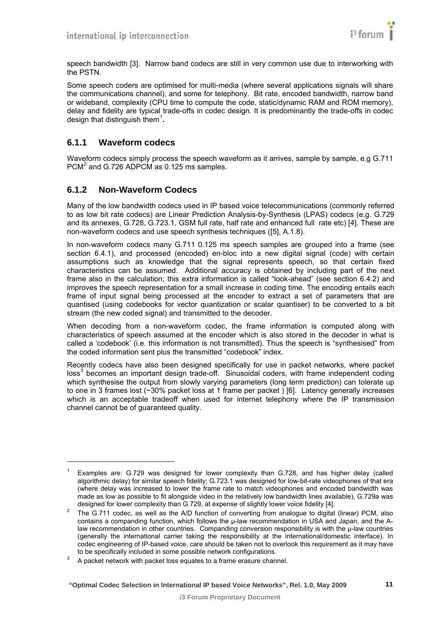<span id="page-10-0"></span>speech bandwidth [\[3\]](#page-6-4). Narrow band codecs are still in very common use due to interworking with the PSTN.

Some speech coders are optimised for multi-media (where several applications signals will share the communications channel), and some for telephony. Bit rate, encoded bandwidth, narrow band or wideband, complexity (CPU time to compute the code, static/dynamic RAM and ROM memory), delay and fidelity are typical trade-offs in codec design. It is predominantly the trade-offs in codec design that distinguish them[1](#page-10-0) **.**

#### <span id="page-10-1"></span>**6.1.1 Waveform codecs**

l

Waveform codecs simply process the speech waveform as it arrives, sample by sample, e.g G.711  $PCM<sup>2</sup>$  $PCM<sup>2</sup>$  $PCM<sup>2</sup>$  and G.726 ADPCM as 0.125 ms samples.

#### <span id="page-10-2"></span>**6.1.2 Non-Waveform Codecs**

Many of the low bandwidth codecs used in IP based voice telecommunications (commonly referred to as low bit rate codecs) are Linear Prediction Analysis-by-Synthesis (LPAS) codecs (e.g. G.729 and its annexes, G.728, G.723.1, GSM full rate, half rate and enhanced full rate etc) [\[4\]](#page-6-5). These are non-waveform codecs and use speech synthesis techniques ([\[5\],](#page-6-6) A.1.8).

In non-waveform codecs many G.711 0.125 ms speech samples are grouped into a frame (see section [6.4.1](#page-11-4)), and processed (encoded) en-bloc into a new digital signal (code) with certain assumptions such as knowledge that the signal represents speech, so that certain fixed characteristics can be assumed. Additional accuracy is obtained by including part of the next frame also in the calculation; this extra information is called "look-ahead" (see section [6.4.2](#page-11-5)) and improves the speech representation for a small increase in coding time. The encoding entails each frame of input signal being processed at the encoder to extract a set of parameters that are quantised (using codebooks for vector quantization or scalar quantiser) to be converted to a bit stream (the new coded signal) and transmitted to the decoder.

When decoding from a non-waveform codec, the frame information is computed along with characteristics of speech assumed at the encoder which is also stored in the decoder in what is called a 'codebook' (i.e. this information is not transmitted). Thus the speech is "synthesised" from the coded information sent plus the transmitted "codebook" index.

Recently codecs have also been designed specifically for use in packet networks, where packet loss<sup>[3](#page-10-0)</sup> becomes an important design trade-off. Sinusoidal coders, with frame independent coding which synthesise the output from slowly varying parameters (long term prediction) can tolerate up to one in 3 frames lost (~30% packet loss at 1 frame per packet ) [\[6\]](#page-6-7). Latency generally increases which is an acceptable tradeoff when used for internet telephony where the IP transmission channel cannot be of guaranteed quality.

<sup>1</sup> Examples are: G.729 was designed for lower complexity than G.728, and has higher delay (called algorithmic delay) for similar speech fidelity; G.723.1 was designed for low-bit-rate videophones of that era (where delay was increased to lower the frame rate to match videophones and encoded bandwidth was made as low as possible to fit alongside video in the relatively low bandwidth lines available), G.729a was designed for lower complexity than G.729, at expense of slightly lower voice fidelity [4].

designed for lower complexity than G.729, at expense of slightly lower voice fidelity [4].<br><sup>2</sup> The G.711 codec, as well as the A/D function of converting from analogue to digital (linear) PCM, also contains a companding function, which follows the μ-law recommendation in USA and Japan, and the Alaw recommendation in other countries. Companding conversion responsibility is with the μ-law countries (generally the international carrier taking the responsibility at the international/domestic interface). In codec engineering of IP-based voice, care should be taken not to overlook this requirement as it may have to be specifically included in some possible network configurations.

A packet network with packet loss equates to a frame erasure channel.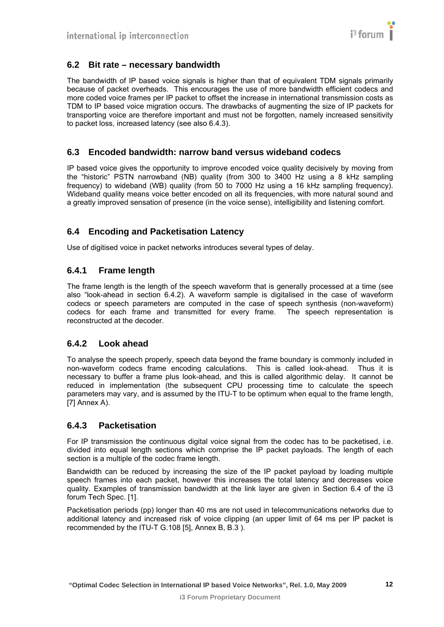

#### <span id="page-11-1"></span><span id="page-11-0"></span>**6.2 Bit rate – necessary bandwidth**

The bandwidth of IP based voice signals is higher than that of equivalent TDM signals primarily because of packet overheads. This encourages the use of more bandwidth efficient codecs and more coded voice frames per IP packet to offset the increase in international transmission costs as TDM to IP based voice migration occurs. The drawbacks of augmenting the size of IP packets for transporting voice are therefore important and must not be forgotten, namely increased sensitivity to packet loss, increased latency (see also [6.4.3\)](#page-11-6).

#### <span id="page-11-2"></span>**6.3 Encoded bandwidth: narrow band versus wideband codecs**

IP based voice gives the opportunity to improve encoded voice quality decisively by moving from the "historic" PSTN narrowband (NB) quality (from 300 to 3400 Hz using a 8 kHz sampling frequency) to wideband (WB) quality (from 50 to 7000 Hz using a 16 kHz sampling frequency). Wideband quality means voice better encoded on all its frequencies, with more natural sound and a greatly improved sensation of presence (in the voice sense), intelligibility and listening comfort.

## <span id="page-11-3"></span>**6.4 Encoding and Packetisation Latency**

Use of digitised voice in packet networks introduces several types of delay.

#### <span id="page-11-4"></span>**6.4.1 Frame length**

The frame length is the length of the speech waveform that is generally processed at a time (see also "look-ahead in section [6.4.2\)](#page-11-5). A waveform sample is digitalised in the case of waveform codecs or speech parameters are computed in the case of speech synthesis (non-waveform) codecs for each frame and transmitted for every frame. The speech representation is reconstructed at the decoder.

#### <span id="page-11-5"></span>**6.4.2 Look ahead**

To analyse the speech properly, speech data beyond the frame boundary is commonly included in non-waveform codecs frame encoding calculations. This is called look-ahead. Thus it is necessary to buffer a frame plus look-ahead, and this is called algorithmic delay. It cannot be reduced in implementation (the subsequent CPU processing time to calculate the speech parameters may vary, and is assumed by the ITU-T to be optimum when equal to the frame length, [\[7\]](#page-6-8) Annex A).

#### <span id="page-11-6"></span>**6.4.3 Packetisation**

For IP transmission the continuous digital voice signal from the codec has to be packetised, i.e. divided into equal length sections which comprise the IP packet payloads. The length of each section is a multiple of the codec frame length.

Bandwidth can be reduced by increasing the size of the IP packet payload by loading multiple speech frames into each packet, however this increases the total latency and decreases voice quality. Examples of transmission bandwidth at the link layer are given in Section 6.4 of the i3 forum Tech Spec. [\[1\].](#page-6-2)

Packetisation periods (pp) longer than 40 ms are not used in telecommunications networks due to additional latency and increased risk of voice clipping (an upper limit of 64 ms per IP packet is recommended by the ITU-T G.108 [\[5\]](#page-6-6), Annex B, B.3 ).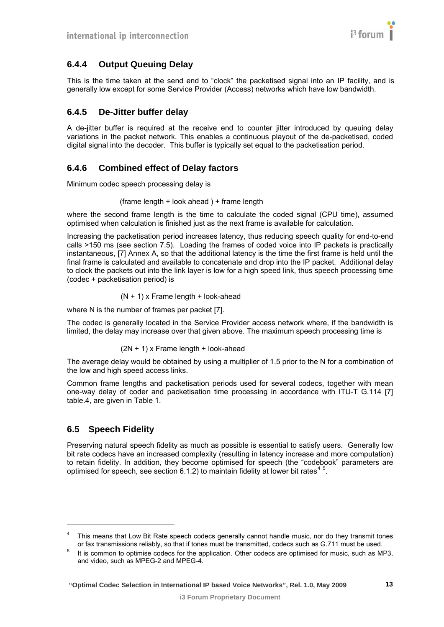## <span id="page-12-1"></span><span id="page-12-0"></span>**6.4.4 Output Queuing Delay**

This is the time taken at the send end to "clock" the packetised signal into an IP facility, and is generally low except for some Service Provider (Access) networks which have low bandwidth.

## <span id="page-12-2"></span>**6.4.5 De-Jitter buffer delay**

A de-jitter buffer is required at the receive end to counter jitter introduced by queuing delay variations in the packet network. This enables a continuous playout of the de-packetised, coded digital signal into the decoder. This buffer is typically set equal to the packetisation period.

## <span id="page-12-3"></span>**6.4.6 Combined effect of Delay factors**

Minimum codec speech processing delay is

#### (frame length + look ahead ) + frame length

where the second frame length is the time to calculate the coded signal (CPU time), assumed optimised when calculation is finished just as the next frame is available for calculation.

Increasing the packetisation period increases latency, thus reducing speech quality for end-to-end calls >150 ms (see section [7.5](#page-21-1)). Loading the frames of coded voice into IP packets is practically instantaneous, [\[7\]](#page-6-8) Annex A, so that the additional latency is the time the first frame is held until the final frame is calculated and available to concatenate and drop into the IP packet. Additional delay to clock the packets out into the link layer is low for a high speed link, thus speech processing time (codec + packetisation period) is

#### $(N + 1)$  x Frame length + look-ahead

where N is the number of frames per packet [\[7\]](#page-6-8).

The codec is generally located in the Service Provider access network where, if the bandwidth is limited, the delay may increase over that given above. The maximum speech processing time is

#### $(2N + 1)$  x Frame length + look-ahead

The average delay would be obtained by using a multiplier of 1.5 prior to the N for a combination of the low and high speed access links.

Common frame lengths and packetisation periods used for several codecs, together with mean one-way delay of coder and packetisation time processing in accordance with ITU-T G.114 [\[7\]](#page-6-8) table.4, are given in [Table 1](#page-13-2).

## <span id="page-12-4"></span>**6.5 Speech Fidelity**

l

Preserving natural speech fidelity as much as possible is essential to satisfy users. Generally low bit rate codecs have an increased complexity (resulting in latency increase and more computation) to retain fidelity. In addition, they become optimised for speech (the "codebook" parameters are optimised for speech, see section [6.1.2](#page-10-2)) to maintain fidelity at lower bit rates<sup>[4](#page-12-0)[5](#page-12-0)</sup>.

<sup>4</sup> This means that Low Bit Rate speech codecs generally cannot handle music, nor do they transmit tones or fax transmissions reliably, so that if tones must be transmitted, codecs such as G.711 must be used.

It is common to optimise codecs for the application. Other codecs are optimised for music, such as MP3, and video, such as MPEG-2 and MPEG-4.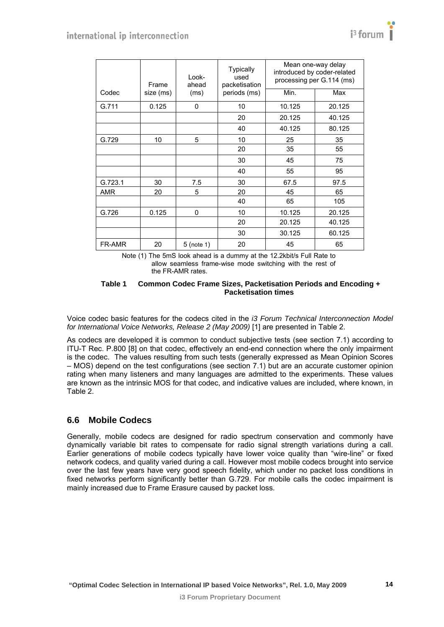<span id="page-13-0"></span>

|            | Frame     | Look-<br>ahead | <b>Typically</b><br>used<br>packetisation | Mean one-way delay<br>introduced by coder-related<br>processing per G.114 (ms) |        |  |  |  |  |  |
|------------|-----------|----------------|-------------------------------------------|--------------------------------------------------------------------------------|--------|--|--|--|--|--|
| Codec      | size (ms) | (ms)           | periods (ms)                              | Min.                                                                           | Max    |  |  |  |  |  |
| G.711      | 0.125     | 0              | 10                                        | 10.125                                                                         | 20.125 |  |  |  |  |  |
|            |           |                | 20                                        | 20.125                                                                         | 40.125 |  |  |  |  |  |
|            |           |                | 40                                        | 40.125                                                                         | 80.125 |  |  |  |  |  |
| G.729      | 10        | 5              | 10                                        | 25                                                                             | 35     |  |  |  |  |  |
|            |           |                | 20                                        | 35                                                                             | 55     |  |  |  |  |  |
|            |           |                | 30                                        | 45                                                                             | 75     |  |  |  |  |  |
|            |           |                | 40                                        | 55                                                                             | 95     |  |  |  |  |  |
| G.723.1    | 30        | 7.5            | 30                                        | 67.5                                                                           | 97.5   |  |  |  |  |  |
| <b>AMR</b> | 20        | 5              | 20                                        | 45                                                                             | 65     |  |  |  |  |  |
|            |           |                | 40                                        | 65                                                                             | 105    |  |  |  |  |  |
| G.726      | 0.125     | 0              | 10                                        | 10.125                                                                         | 20.125 |  |  |  |  |  |
|            |           |                | 20                                        | 20.125                                                                         | 40.125 |  |  |  |  |  |
|            |           |                | 30                                        | 30.125                                                                         | 60.125 |  |  |  |  |  |
| FR-AMR     | 20        | 5 (note 1)     | 20                                        | 45                                                                             | 65     |  |  |  |  |  |

Note (1) The 5mS look ahead is a dummy at the 12.2kbit/s Full Rate to allow seamless frame-wise mode switching with the rest of the FR-AMR rates.

#### **Table 1 Common Codec Frame Sizes, Packetisation Periods and Encoding + Packetisation times**

<span id="page-13-2"></span>Voice codec basic features for the codecs cited in the *i3 Forum Technical Interconnection Model for International Voice Networks, Release 2 (May 2009)* [\[1\]](#page-6-2) are presented in Table 2.

As codecs are developed it is common to conduct subjective tests (see section [7.1](#page-18-2)) according to ITU-T Rec. P.800 [\[8\]](#page-6-9) on that codec, effectively an end-end connection where the only impairment is the codec. The values resulting from such tests (generally expressed as Mean Opinion Scores – MOS) depend on the test configurations (see section [7.1](#page-18-2)) but are an accurate customer opinion rating when many listeners and many languages are admitted to the experiments. These values are known as the intrinsic MOS for that codec, and indicative values are included, where known, in [Table 2](#page-17-0).

#### <span id="page-13-1"></span>**6.6 Mobile Codecs**

Generally, mobile codecs are designed for radio spectrum conservation and commonly have dynamically variable bit rates to compensate for radio signal strength variations during a call. Earlier generations of mobile codecs typically have lower voice quality than "wire-line" or fixed network codecs, and quality varied during a call. However most mobile codecs brought into service over the last few years have very good speech fidelity, which under no packet loss conditions in fixed networks perform significantly better than G.729. For mobile calls the codec impairment is mainly increased due to Frame Erasure caused by packet loss.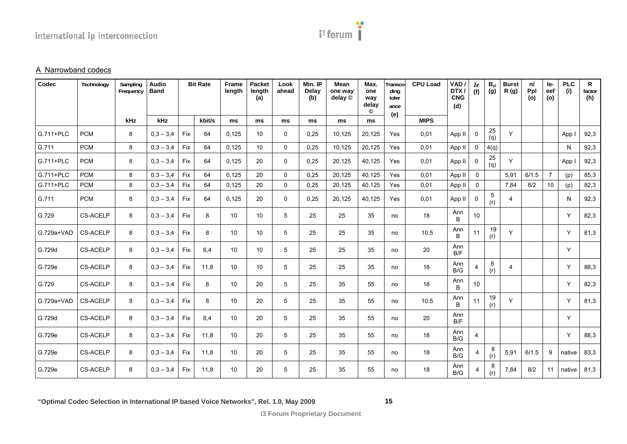

#### A Narrowband codecs

| Codec      | Technology      | Sampling<br>Frequency | <b>Audio</b><br><b>Band</b> |            | <b>Bit Rate</b> | <b>Frame</b><br>length | <b>Packet</b><br>length<br>(a) | Look<br>ahead | Min. IP<br><b>Delay</b><br>(b) | <b>Mean</b><br>one way<br>delay © | Max.<br>one<br>way<br>delay<br>$^{\circ}$ | Transco<br>ding<br>toler<br>ance | <b>CPU Load</b> | VAD/<br>DTX/<br><b>CNG</b><br>(d) | <i>Ie</i><br>(f) | $\overset{\mathbf{B}_{\mathrm{pl}}}{\left( \mathbf{g}\right) }$ | <b>Burst</b><br>R(g) | n/<br>Ppl<br>(o) | le-<br>eef<br>(o) | <b>PLC</b><br>(i) | $\mathsf{R}$<br>factor<br>(h) |
|------------|-----------------|-----------------------|-----------------------------|------------|-----------------|------------------------|--------------------------------|---------------|--------------------------------|-----------------------------------|-------------------------------------------|----------------------------------|-----------------|-----------------------------------|------------------|-----------------------------------------------------------------|----------------------|------------------|-------------------|-------------------|-------------------------------|
|            |                 | kHz                   | <b>kHz</b>                  |            | kbit/s          | ms                     | ms                             | ms            | <b>ms</b>                      | ms                                | <b>ms</b>                                 | (e)                              | <b>MIPS</b>     |                                   |                  |                                                                 |                      |                  |                   |                   |                               |
| G.711+PLC  | <b>PCM</b>      | 8                     | $0.3 - 3.4$                 | Fix        | 64              | 0,125                  | 10                             | 0             | 0,25                           | 10.125                            | 20,125                                    | Yes                              | 0,01            | App II                            | $\mathbf 0$      | 25<br>(q)                                                       | Y                    |                  |                   | App I             | 92,3                          |
| G.711      | <b>PCM</b>      | 8                     | $0,3 - 3,4$                 | Fix        | 64              | 0,125                  | 10                             | $\mathbf{0}$  | 0,25                           | 10,125                            | 20,125                                    | Yes                              | 0,01            | App II                            | 0                | 4(q)                                                            |                      |                  |                   | N                 | 92,3                          |
| G.711+PLC  | <b>PCM</b>      | 8                     | $0,3 - 3,4$                 | Fix        | 64              | 0,125                  | 20                             | $\Omega$      | 0,25                           | 20,125                            | 40,125                                    | Yes                              | 0,01            | App II                            | $\mathbf 0$      | 25<br>(q)                                                       | Y                    |                  |                   | App               | 92,3                          |
| G.711+PLC  | <b>PCM</b>      | 8                     | $0,3 - 3,4$                 | Fix        | 64              | 0.125                  | 20                             | $\Omega$      | 0.25                           | 20.125                            | 40.125                                    | Yes                              | 0.01            | App II                            | $\mathbf 0$      |                                                                 | 5.91                 | 6/1.5            | $\overline{7}$    | (p)               | 85,3                          |
| G.711+PLC  | <b>PCM</b>      | 8                     | $0,3 - 3,4$                 | Fix        | 64              | 0,125                  | 20                             | $\mathbf 0$   | 0,25                           | 20,125                            | 40,125                                    | Yes                              | 0,01            | App II                            | $\mathbf 0$      |                                                                 | 7,84                 | 8/2              | 10                | (p)               | 82,3                          |
| G.711      | <b>PCM</b>      | 8                     | $0,3 - 3,4$                 | Fix        | 64              | 0,125                  | 20                             | $\mathbf 0$   | 0,25                           | 20,125                            | 40,125                                    | Yes                              | 0,01            | App II                            | 0                | $\mathbf 5$<br>(r)                                              | 4                    |                  |                   | N                 | 92,3                          |
| G.729      | <b>CS-ACELP</b> | 8                     | $0,3 - 3,4$                 | Fix        | 8               | 10                     | 10                             | 5             | 25                             | 25                                | 35                                        | no                               | 18              | Ann<br><sub>B</sub>               | 10               |                                                                 |                      |                  |                   | Y                 | 82,3                          |
| G.729a+VAD | <b>CS-ACELP</b> | 8                     | $0,3 - 3,4$                 | <b>Fix</b> | 8               | 10                     | 10                             | 5             | 25                             | 25                                | 35                                        | no                               | 10.5            | Ann<br>B                          | 11               | 19<br>(r)                                                       | Y                    |                  |                   | Y                 | 81,3                          |
| G.729d     | <b>CS-ACELP</b> | 8                     | $0.3 - 3.4$                 | Fix        | 6,4             | 10                     | 10                             | 5             | 25                             | 25                                | 35                                        | no                               | 20              | Ann<br>B/F                        |                  |                                                                 |                      |                  |                   | Y                 |                               |
| G.729e     | <b>CS-ACELP</b> | 8                     | $0.3 - 3.4$                 | <b>Fix</b> | 11,8            | 10                     | 10                             | 5             | 25                             | 25                                | 35                                        | no                               | 18              | Ann<br>B/G                        | $\overline{4}$   | 8<br>(r)                                                        | 4                    |                  |                   | Y                 | 88,3                          |
| G.729      | <b>CS-ACELP</b> | 8                     | $0,3 - 3,4$                 | Fix        | 8               | 10                     | 20                             | 5             | 25                             | 35                                | 55                                        | no                               | 18              | Ann<br>B.                         | 10               |                                                                 |                      |                  |                   | Y                 | 82,3                          |
| G.729a+VAD | <b>CS-ACELP</b> | 8                     | $0,3 - 3,4$                 | Fix        | 8               | 10                     | 20                             | 5             | 25                             | 35                                | 55                                        | no                               | 10.5            | Ann<br>B                          | 11               | 19<br>(r)                                                       | Y                    |                  |                   | Y                 | 81,3                          |
| G.729d     | <b>CS-ACELP</b> | 8                     | $0.3 - 3.4$                 | Fix        | 6.4             | 10                     | 20                             | 5             | 25                             | 35                                | 55                                        | no                               | 20              | Ann<br>B/F                        |                  |                                                                 |                      |                  |                   | Y                 |                               |
| G.729e     | <b>CS-ACELP</b> | 8                     | $0.3 - 3.4$                 | Fix        | 11,8            | 10                     | 20                             | 5             | 25                             | 35                                | 55                                        | no                               | 18              | Ann<br>$\mathsf{B}/\mathsf{G}$    | $\overline{4}$   |                                                                 |                      |                  |                   | Y                 | 88,3                          |
| G.729e     | <b>CS-ACELP</b> | 8                     | $0.3 - 3.4$                 | Fix        | 11,8            | 10                     | 20                             | 5             | 25                             | 35                                | 55                                        | no                               | 18              | Ann<br>B/G                        | $\overline{4}$   | 8<br>(r)                                                        | 5,91                 | 6/1.5            | 9                 | native            | 83,3                          |
| G.729e     | <b>CS-ACELP</b> | 8                     | $0,3 - 3,4$                 | Fix        | 11,8            | 10                     | 20                             | 5             | 25                             | 35                                | 55                                        | no                               | 18              | Ann<br>B/G                        | 4                | 8<br>(r)                                                        | 7,84                 | 8/2              | 11                | native            | 81,3                          |

**15**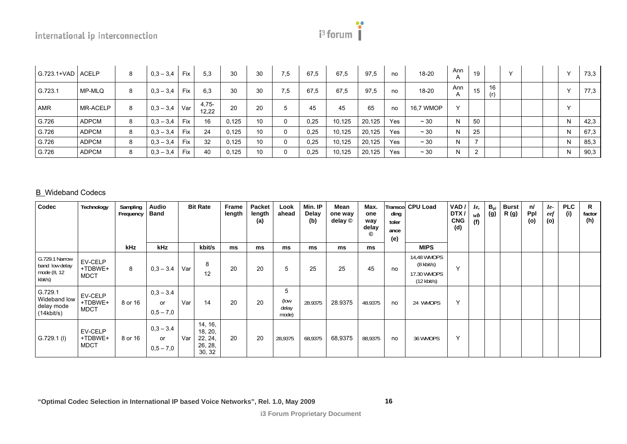# $i<sup>3</sup>$  forum

| $G.723.1+VAD$ ACELP |          | 8 | $0.3 - 3.4$ | Fix        | 5,3              | 30    | 30 | 7,5      | 67.5 | 67.5   | 97.5   | no  | 18-20     | Ann          | 19             |           | $\checkmark$ |  | $\sqrt{}$ | 73,3 |
|---------------------|----------|---|-------------|------------|------------------|-------|----|----------|------|--------|--------|-----|-----------|--------------|----------------|-----------|--------------|--|-----------|------|
| G.723.1             | MP-MLQ   | 8 | $0.3 - 3.4$ | <b>Fix</b> | 6.3              | 30    | 30 | 7,5      | 67,5 | 67.5   | 97,5   | no  | 18-20     | Ann          | 15             | 16<br>(r) |              |  | $\sqrt{}$ | 77,3 |
| <b>AMR</b>          | MR-ACELP | 8 | $0.3 - 3.4$ | Var        | $4,75-$<br>12.22 | 20    | 20 | 5        | 45   | 45     | 65     | no  | 16,7 WMOP | $\checkmark$ |                |           |              |  | $\lambda$ |      |
| G.726               | ADPCM    | 8 | $0.3 - 3.4$ | <b>Fix</b> | 16               | 0.125 | 10 | $\Omega$ | 0,25 | 10,125 | 20.125 | Yes | $~1$ 30   | N            | 50             |           |              |  | N         | 42,3 |
| G.726               | ADPCM    | 8 | $0.3 - 3.4$ | <b>Fix</b> | 24               | 0,125 | 10 | $\Omega$ | 0,25 | 10,125 | 20.125 | Yes | $~1$ 30   | N            | 25             |           |              |  | N         | 67,3 |
| G.726               | ADPCM    | 8 | $0,3 - 3,4$ | <b>Fix</b> | 32               | 0,125 | 10 | $\Omega$ | 0,25 | 10,125 | 20,125 | Yes | $~1$ 30   | N            |                |           |              |  | N         | 85,3 |
| G.726               | ADPCM    | 8 | $0,3 - 3,4$ | <b>Fix</b> | 40               | 0,125 | 10 | $\Omega$ | 0,25 | 10,125 | 20,125 | Yes | $~1$ 30   | N            | $\overline{2}$ |           |              |  | N         | 90,3 |

#### B Wideband Codecs

| Codec                                                      | Technology                        | Sampling<br>Frequency | Audio<br><b>Band</b>             |     | <b>Bit Rate</b>                                    | Frame<br>length | Packet<br>length<br>(a) | Look<br>ahead               | Min. IP<br>Delay<br>(b) | Mean<br>one way<br>delay © | Max.<br>one<br>way<br>delay<br>◎ | Transcol<br>ding<br>toler<br>ance<br>(e) | <b>CPU Load</b>                                                             | VAD/<br>DTX/<br><b>CNG</b><br>(d) | Ie.<br>wb<br>(f) | $B_{pl}$<br>(g) | <b>Burst</b><br>R (g) | n/<br>Ppl<br>(o) | $Ie-$<br>eef<br>(o) | <b>PLC</b><br>(i) | R<br>factor<br>(h) |
|------------------------------------------------------------|-----------------------------------|-----------------------|----------------------------------|-----|----------------------------------------------------|-----------------|-------------------------|-----------------------------|-------------------------|----------------------------|----------------------------------|------------------------------------------|-----------------------------------------------------------------------------|-----------------------------------|------------------|-----------------|-----------------------|------------------|---------------------|-------------------|--------------------|
|                                                            |                                   | kHz                   | <b>kHz</b>                       |     | kbit/s                                             | ms              | ms                      | ms                          | ms                      | ms                         | ms                               |                                          | <b>MIPS</b>                                                                 |                                   |                  |                 |                       |                  |                     |                   |                    |
| G.729.1 Narrow<br>band low delay<br>mode (8, 12<br>kbit/s) | EV-CELP<br>+TDBWE+<br><b>MDCT</b> | 8                     | $0.3 - 3.4$                      | Var | 8<br>12                                            | 20              | 20                      | 5                           | 25                      | 25                         | 45                               | no                                       | 14,48 WMOPS<br>$(8 \text{ kbit/s})$<br>17.30 WMOPS<br>$(12 \text{ kbit/s})$ | $\checkmark$                      |                  |                 |                       |                  |                     |                   |                    |
| G.729.1<br>Wideband low<br>delay mode<br>(14kbit/s)        | EV-CELP<br>+TDBWE+<br><b>MDCT</b> | 8 or 16               | $0.3 - 3.4$<br>or<br>$0,5 - 7,0$ | Var | 14                                                 | 20              | 20                      | 5<br>(low<br>delay<br>mode) | 28.9375                 | 28.9375                    | 48.9375                          | no                                       | 24 WMOPS                                                                    | $\checkmark$                      |                  |                 |                       |                  |                     |                   |                    |
| $G.729.1$ (I)                                              | EV-CELP<br>+TDBWE+<br><b>MDCT</b> | 8 or 16               | $0.3 - 3.4$<br>or<br>$0,5 - 7,0$ | Var | 14, 16,<br>18, 20,<br>22, 24,<br>26, 28,<br>30, 32 | 20              | 20                      | 28,9375                     | 68,9375                 | 68,9375                    | 88,9375                          | no                                       | 36 WMOPS                                                                    | Y                                 |                  |                 |                       |                  |                     |                   |                    |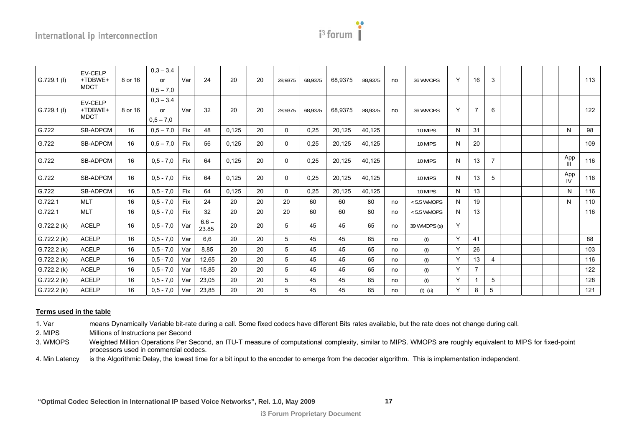| orun |
|------|
|      |

|               | EV-CELP                           |         | $0,3 - 3.4$       |            |                  |       |    |          |         |         |         |    |               |              |                |                |  |                  |     |
|---------------|-----------------------------------|---------|-------------------|------------|------------------|-------|----|----------|---------|---------|---------|----|---------------|--------------|----------------|----------------|--|------------------|-----|
| G.729.1 (l)   | +TDBWE+                           | 8 or 16 | or                | Var        | 24               | 20    | 20 | 28.9375  | 68,9375 | 68.9375 | 88.9375 | no | 36 WMOPS      | Y            | 16             | 3              |  |                  | 113 |
|               | <b>MDCT</b>                       |         | $0.5 - 7.0$       |            |                  |       |    |          |         |         |         |    |               |              |                |                |  |                  |     |
| $G.729.1$ (l) | EV-CELP<br>+TDBWE+<br><b>MDCT</b> | 8 or 16 | $0.3 - 3.4$<br>or | Var        | 32               | 20    | 20 | 28.9375  | 68,9375 | 68,9375 | 88,9375 | no | 36 WMOPS      | Y            | 7              | 6              |  |                  | 122 |
|               |                                   |         | $0,5 - 7,0$       |            |                  |       |    |          |         |         |         |    |               |              |                |                |  |                  |     |
| G.722         | <b>SB-ADPCM</b>                   | 16      | $0,5 - 7,0$       | Fix        | 48               | 0,125 | 20 | 0        | 0,25    | 20,125  | 40,125  |    | 10 MIPS       | N            | 31             |                |  | N                | 98  |
| G.722         | <b>SB-ADPCM</b>                   | 16      | $0.5 - 7.0$       | Fix        | 56               | 0,125 | 20 | 0        | 0,25    | 20,125  | 40,125  |    | 10 MIPS       | N            | 20             |                |  |                  | 109 |
| G.722         | <b>SB-ADPCM</b>                   | 16      | $0,5 - 7,0$       | <b>Fix</b> | 64               | 0,125 | 20 | 0        | 0,25    | 20,125  | 40,125  |    | 10 MIPS       | N            | 13             | $\overline{7}$ |  | App<br>Ш         | 116 |
| G.722         | <b>SB-ADPCM</b>                   | 16      | $0.5 - 7.0$       | Fix        | 64               | 0,125 | 20 | $\Omega$ | 0,25    | 20,125  | 40,125  |    | 10 MIPS       | N            | 13             | 5              |  | App<br><b>IV</b> | 116 |
| G.722         | <b>SB-ADPCM</b>                   | 16      | $0,5 - 7,0$       | Fix        | 64               | 0,125 | 20 | $\Omega$ | 0,25    | 20,125  | 40,125  |    | 10 MIPS       | N            | 13             |                |  | N                | 116 |
| G.722.1       | <b>MLT</b>                        | 16      | $0,5 - 7,0$       | Fix        | 24               | 20    | 20 | 20       | 60      | 60      | 80      | no | $< 5.5$ WMOPS | N            | 19             |                |  | N                | 110 |
| G.722.1       | <b>MLT</b>                        | 16      | $0,5 - 7,0$       | Fix        | 32               | 20    | 20 | 20       | 60      | 60      | 80      | no | $< 5.5$ WMOPS | N            | 13             |                |  |                  | 116 |
| G.722.2(k)    | <b>ACELP</b>                      | 16      | $0,5 - 7,0$       | Var        | $6.6 -$<br>23.85 | 20    | 20 | 5        | 45      | 45      | 65      | no | 39 WMOPS (s)  | Υ            |                |                |  |                  |     |
| G.722.2(k)    | <b>ACELP</b>                      | 16      | $0,5 - 7,0$       | Var        | 6,6              | 20    | 20 | 5        | 45      | 45      | 65      | no | (t)           | Y            | 41             |                |  |                  | 88  |
| G.722.2(k)    | <b>ACELP</b>                      | 16      | $0,5 - 7,0$       | Var        | 8,85             | 20    | 20 | 5        | 45      | 45      | 65      | no | (t)           | $\checkmark$ | 26             |                |  |                  | 103 |
| G.722.2(k)    | <b>ACELP</b>                      | 16      | $0,5 - 7,0$       | Var        | 12.65            | 20    | 20 | 5        | 45      | 45      | 65      | no | (t)           | Y            | 13             | 4              |  |                  | 116 |
| G.722.2(k)    | <b>ACELP</b>                      | 16      | $0,5 - 7,0$       | Var        | 15,85            | 20    | 20 | 5        | 45      | 45      | 65      | no | (t)           | Y            | $\overline{7}$ |                |  |                  | 122 |
| G.722.2(k)    | <b>ACELP</b>                      | 16      | $0,5 - 7,0$       | Var        | 23,05            | 20    | 20 | 5        | 45      | 45      | 65      | no | (t)           | Y            |                | 5              |  |                  | 128 |
| G.722.2 (k)   | <b>ACELP</b>                      | 16      | $0.5 - 7.0$       | Var        | 23.85            | 20    | 20 | 5        | 45      | 45      | 65      | no | $(t)$ $(u)$   | Y            | 8              | 5              |  |                  | 121 |

#### **Terms used in the table**

1. Var means Dynamically Variable bit-rate during a call. Some fixed codecs have different Bits rates available, but the rate does not change during call.

2. MIPS Millions of Instructions per Second

3. WMOPS Weighted Million Operations Per Second, an ITU-T measure of computational complexity, similar to MIPS. WMOPS are roughly equivalent to MIPS for fixed-point processors used in commercial codecs.

4. Min Latency is the Algorithmic Delay, the lowest time for a bit input to the encoder to emerge from the decoder algorithm. This is implementation independent.

 **"Optimal Codec Selection in International IP based Voice Networks", Rel. 1.0, May 2009** 

**17**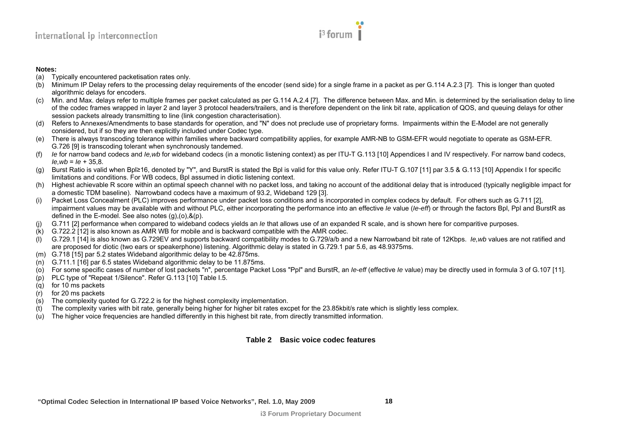# $i<sup>3</sup>$  forum |

#### **Notes:**

- (a) Typically encountered packetisation rates only.
- (b) Minimum IP Delay refers to the processing delay requirements of the encoder (send side) for a single frame in a packet as per G.114 A.2.3 [\[7\]](#page-6-10). This is longer than quoted algorithmic delays for encoders.
- (c) Min. and Max. delays refer to multiple frames per packet calculated as per G.114 A.2.4 [\[7\]](#page-6-10). The difference between Max. and Min. is determined by the serialisation delay to line of the codec frames wrapped in layer 2 and layer 3 protocol headers/trailers, and is therefore dependent on the link bit rate, application of QOS, and queuing delays for other session packets already transmitting to line (link congestion characterisation).
- (d) Refers to Annexes/Amendments to base standards for operation, and "N" does not preclude use of proprietary forms. Impairments within the E-Model are not generally considered, but if so they are then explicitly included under Codec type.
- (e) There is always transcoding tolerance within families where backward compatibility applies, for example AMR-NB to GSM-EFR would negotiate to operate as GSM-EFR. G.726 [\[9\]](#page-6-11) is transcoding tolerant when synchronously tandemed.
- (f) *Ie* for narrow band codecs and *Ie,wb* for wideband codecs (in a monotic listening context) as per ITU-T G.113 [\[10\]](#page-6-12) Appendices I and IV respectively. For narrow band codecs, *Ie,wb* <sup>=</sup>*Ie* + 35,8.
- (g) Burst Ratio is valid when Bpl≥16, denoted by "Y", and BurstR is stated the Bpl is valid for this value only. Refer ITU-T G.107 [\[11\]](#page-6-13) par 3.5 & G.113 [\[10\]](#page-6-12) Appendix I for specific limitations and conditions. For WB codecs, Bpl assumed in diotic listening context.
- (h) Highest achievable R score within an optimal speech channel with no packet loss, and taking no account of the additional delay that is introduced (typically negligible impact for a domestic TDM baseline). Narrowband codecs have a maximum of 93.2, Wideband 129 [\[3\]](#page-6-14).
- (i) Packet Loss Concealment (PLC) improves performance under packet loss conditions and is incorporated in complex codecs by default. For others such as G.711 [\[2\]](#page-6-15), impairment values may be available with and without PLC, either incorporating the performance into an effective *Ie* value (*Ie-eff*) or through the factors Bpl, Ppl and BurstR as defined in the E-model. See also notes (g),(o),&(p).
- G.711 [\[2\]](#page-6-15) performance when compared to wideband codecs yields an *Ie* that allows use of an expanded R scale, and is shown here for comparitive purposes.
- (k) G.722.2 [\[12\]](#page-6-16) is also known as AMR WB for mobile and is backward compatible with the AMR codec.
- (l) G.729.1 [\[14\]](#page-6-17) is also known as G.729EV and supports backward compatibility modes to G.729/a/b and a new Narrowband bit rate of 12Kbps. *Ie,wb* values are not ratified and are proposed for diotic (two ears or speakerphone) listening. Algorithmic delay is stated in G.729.1 par 5.6, as 48.9375ms.
- (m) G.718 [\[15\]](#page-6-18) par 5.2 states Wideband algorithmic delay to be 42.875ms.
- (n) G.711.1 [\[16\]](#page-6-19) par 6.5 states Wideband algorithmic delay to be 11.875ms.
- (o) For some specific cases of number of lost packets "n", percentage Packet Loss "Ppl" and BurstR, an *Ie-eff* (effective *Ie* value) may be directly used in formula 3 of G.107 [\[11\]](#page-6-13).
- (p) PLC type of "Repeat 1/Silence". Refer G.113 [\[10\]](#page-6-12) Table I.5.
- (q) for 10 ms packets
- (r) for 20 ms packets
- (s) The complexity quoted for G.722.2 is for the highest complexity implementation.
- (t) The complexity varies with bit rate, generally being higher for higher bit rates excpet for the 23.85kbit/s rate which is slightly less complex.
- (u) The higher voice frequencies are handled differently in this highest bit rate, from directly transmitted information.

#### <span id="page-17-0"></span>**Table 2 Basic voice codec features**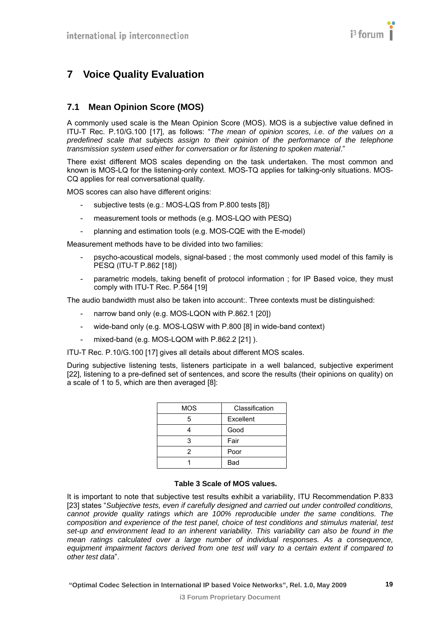# <span id="page-18-1"></span><span id="page-18-0"></span>**7 Voice Quality Evaluation**

## <span id="page-18-2"></span>**7.1 Mean Opinion Score (MOS)**

A commonly used scale is the Mean Opinion Score (MOS). MOS is a subjective value defined in ITU-T Rec. P.10/G.100 [\[17\],](#page-6-20) as follows: "*The mean of opinion scores, i.e. of the values on a predefined scale that subjects assign to their opinion of the performance of the telephone transmission system used either for conversation or for listening to spoken material*."

There exist different MOS scales depending on the task undertaken. The most common and known is MOS-LQ for the listening-only context. MOS-TQ applies for talking-only situations. MOS-CQ applies for real conversational quality.

MOS scores can also have different origins:

- subjective tests (e.g.: MOS-LQS from P.800 tests [\[8\]](#page-6-9))
- measurement tools or methods (e.g. MOS-LQO with PESQ)
- planning and estimation tools (e.g. MOS-CQE with the E-model)

Measurement methods have to be divided into two families:

- psycho-acoustical models, signal-based ; the most commonly used model of this family is PESQ (ITU-T P.862 [\[18\]\)](#page-6-21)
- parametric models, taking benefit of protocol information ; for IP Based voice, they must comply with ITU-T Rec. P.564 [\[19\]](#page-6-22)

The audio bandwidth must also be taken into account:. Three contexts must be distinguished:

- narrow band only (e.g. MOS-LQON with P.862.1 [\[20\]\)](#page-6-23)
- wide-band only (e.g. MOS-LQSW with P.800 [\[8\]](#page-6-9) in wide-band context)
- mixed-band (e.g. MOS-LQOM with P.862.2 [\[21\]](#page-6-24) ).
- ITU-T Rec. P.10/G.100 [\[17\]](#page-6-20) gives all details about different MOS scales.

During subjective listening tests, listeners participate in a well balanced, subjective experiment [\[22\],](#page-6-25) listening to a pre-defined set of sentences, and score the results (their opinions on quality) on a scale of 1 to 5, which are then averaged [\[8\]](#page-6-9):

| <b>MOS</b> | Classification |
|------------|----------------|
| 5          | Excellent      |
|            | Good           |
| 3          | Fair           |
| 2          | Poor           |
|            | Bad            |

#### **Table 3 Scale of MOS values.**

It is important to note that subjective test results exhibit a variability, ITU Recommendation P.833 [\[23\]](#page-6-26) states "*Subjective tests, even if carefully designed and carried out under controlled conditions, cannot provide quality ratings which are 100% reproducible under the same conditions. The composition and experience of the test panel, choice of test conditions and stimulus material, test set-up and environment lead to an inherent variability. This variability can also be found in the mean ratings calculated over a large number of individual responses. As a consequence, equipment impairment factors derived from one test will vary to a certain extent if compared to other test data*".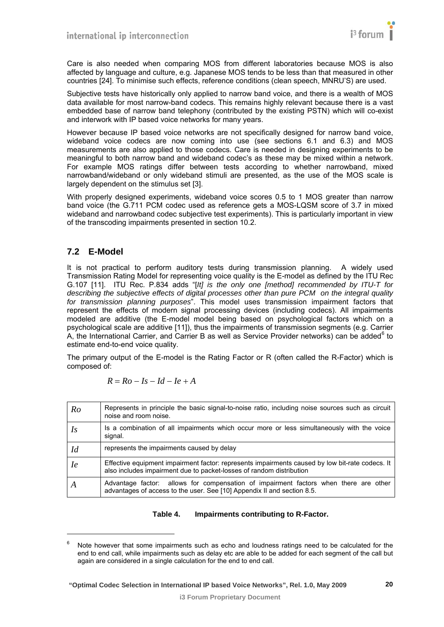<span id="page-19-0"></span>Care is also needed when comparing MOS from different laboratories because MOS is also affected by language and culture, e.g. Japanese MOS tends to be less than that measured in other countries [\[24\].](#page-7-0) To minimise such effects, reference conditions (clean speech, MNRU'S) are used.

Subjective tests have historically only applied to narrow band voice, and there is a wealth of MOS data available for most narrow-band codecs. This remains highly relevant because there is a vast embedded base of narrow band telephony (contributed by the existing PSTN) which will co-exist and interwork with IP based voice networks for many years.

However because IP based voice networks are not specifically designed for narrow band voice, wideband voice codecs are now coming into use (see sections [6.1](#page-9-3) and [6.3](#page-11-2)) and MOS measurements are also applied to those codecs. Care is needed in designing experiments to be meaningful to both narrow band and wideband codec's as these may be mixed within a network. For example MOS ratings differ between tests according to whether narrowband, mixed narrowband/wideband or only wideband stimuli are presented, as the use of the MOS scale is largely dependent on the stimulus set [\[3\]](#page-6-4).

With properly designed experiments, wideband voice scores 0.5 to 1 MOS greater than narrow band voice (the G.711 PCM codec used as reference gets a MOS-LQSM score of 3.7 in mixed wideband and narrowband codec subjective test experiments). This is particularly important in view of the transcoding impairments presented in section [10.2](#page-31-1).

#### <span id="page-19-1"></span>**7.2 E-Model**

l

It is not practical to perform auditory tests during transmission planning. A widely used Transmission Rating Model for representing voice quality is the E-model as defined by the ITU Rec G.107 [\[11\]](#page-6-27). ITU Rec. P.834 adds "[*It] is the only one [method] recommended by ITU-T for describing the subjective effects of digital processes other than pure PCM on the integral quality for transmission planning purposes*". This model uses transmission impairment factors that represent the effects of modern signal processing devices (including codecs). All impairments modeled are additive (the E-model model being based on psychological factors which on a psychological scale are additive [\[11\]](#page-6-27)), thus the impairments of transmission segments (e.g. Carrier A, the International Carrier, and Carrier B as well as Service Provider networks) can be added<sup>[6](#page-19-0)</sup> to estimate end-to-end voice quality.

The primary output of the E-model is the Rating Factor or R (often called the R-Factor) which is composed of:

$$
R = Ro - Is - Id - Ie + A
$$

| Ro        | Represents in principle the basic signal-to-noise ratio, including noise sources such as circuit<br>noise and room noise.                                               |
|-----------|-------------------------------------------------------------------------------------------------------------------------------------------------------------------------|
| Is        | Is a combination of all impairments which occur more or less simultaneously with the voice<br>signal.                                                                   |
| Id        | represents the impairments caused by delay                                                                                                                              |
| <i>le</i> | Effective equipment impairment factor: represents impairments caused by low bit-rate codecs. It<br>also includes impairment due to packet-losses of random distribution |
| A         | Advantage factor: allows for compensation of impairment factors when there are other<br>advantages of access to the user. See [10] Appendix II and section 8.5.         |

#### **Table 4. Impairments contributing to R-Factor.**

<sup>6</sup> Note however that some impairments such as echo and loudness ratings need to be calculated for the end to end call, while impairments such as delay etc are able to be added for each segment of the call but again are considered in a single calculation for the end to end call.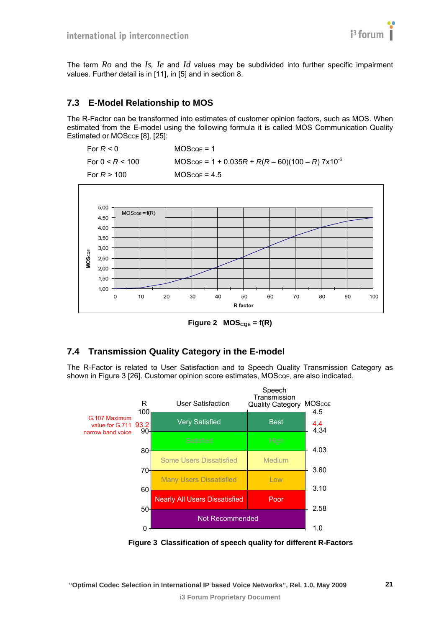

<span id="page-20-0"></span>The term *Ro* and the *Is, Ie* and *Id* values may be subdivided into further specific impairment values. Further detail is in [\[11\]](#page-6-27), in [\[5\]](#page-6-6) and in section [8](#page-22-2).

#### <span id="page-20-1"></span>**7.3 E-Model Relationship to MOS**

The R-Factor can be transformed into estimates of customer opinion factors, such as MOS. When estimated from the E-model using the following formula it is called MOS Communication Quality Estimated or MOScoe [\[8\]](#page-6-9), [\[25\]](#page-7-1):





Figure 2  $MOS_{CQE} = f(R)$ 

#### <span id="page-20-4"></span><span id="page-20-2"></span>**7.4 Transmission Quality Category in the E-model**

The R-Factor is related to User Satisfaction and to Speech Quality Transmission Category as shown in [Figure 3](#page-20-3) [\[26\]](#page-7-2). Customer opinion score estimates, MOScoe, are also indicated.



<span id="page-20-3"></span>**Figure 3 Classification of speech quality for different R-Factors**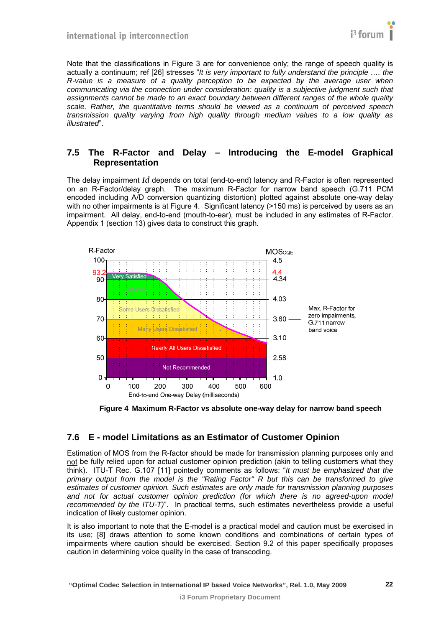<span id="page-21-0"></span>Note that the classifications in [Figure 3](#page-20-3) are for convenience only; the range of speech quality is actually a continuum; ref [\[26\]](#page-7-2) stresses "*It is very important to fully understand the principle …. the R-value is a measure of a quality perception to be expected by the average user when communicating via the connection under consideration: quality is a subjective judgment such that assignments cannot be made to an exact boundary between different ranges of the whole quality scale. Rather, the quantitative terms should be viewed as a continuum of perceived speech transmission quality varying from high quality through medium values to a low quality as illustrated*".

#### <span id="page-21-1"></span>**7.5 The R-Factor and Delay – Introducing the E-model Graphical Representation**

The delay impairment *Id* depends on total (end-to-end) latency and R-Factor is often represented on an R-Factor/delay graph. The maximum R-Factor for narrow band speech (G.711 PCM encoded including A/D conversion quantizing distortion) plotted against absolute one-way delay with no other impairments is at [Figure 4](#page-21-3). Significant latency (>150 ms) is perceived by users as an impairment. All delay, end-to-end (mouth-to-ear), must be included in any estimates of R-Factor. Appendix 1 (section [13\)](#page-43-1) gives data to construct this graph.



**Figure 4 Maximum R-Factor vs absolute one-way delay for narrow band speech** 

#### <span id="page-21-3"></span><span id="page-21-2"></span>**7.6 E - model Limitations as an Estimator of Customer Opinion**

Estimation of MOS from the R-factor should be made for transmission planning purposes only and not be fully relied upon for actual customer opinion prediction (akin to telling customers what they think). ITU-T Rec. G.107 [\[11\]](#page-6-27) pointedly comments as follows: "*It must be emphasized that the primary output from the model is the "Rating Factor" R but this can be transformed to give estimates of customer opinion. Such estimates are only made for transmission planning purposes*  and not for actual customer opinion prediction (for which there is no agreed-upon model *recommended by the ITU-T)*". In practical terms, such estimates nevertheless provide a useful indication of likely customer opinion.

It is also important to note that the E-model is a practical model and caution must be exercised in its use; [\[8\]](#page-6-9) draws attention to some known conditions and combinations of certain types of impairments where caution should be exercised. Section [9.2](#page-28-1) of this paper specifically proposes caution in determining voice quality in the case of transcoding.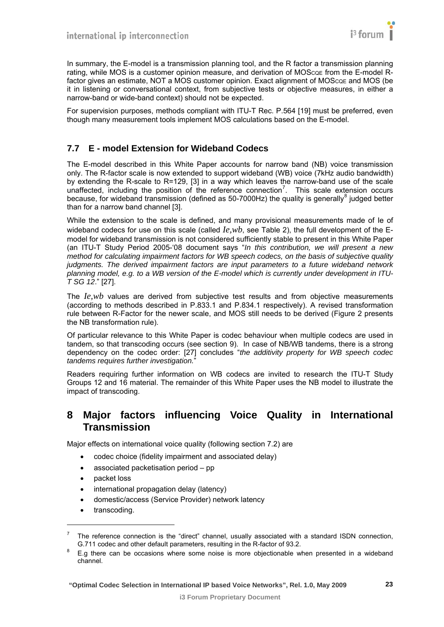

<span id="page-22-0"></span>In summary, the E-model is a transmission planning tool, and the R factor a transmission planning rating, while MOS is a customer opinion measure, and derivation of MOSCQE from the E-model Rfactor gives an estimate, NOT a MOS customer opinion. Exact alignment of MOScoe and MOS (be it in listening or conversational context, from subjective tests or objective measures, in either a narrow-band or wide-band context) should not be expected.

For supervision purposes, methods compliant with ITU-T Rec. P.564 [\[19\]](#page-6-22) must be preferred, even though many measurement tools implement MOS calculations based on the E-model.

## <span id="page-22-1"></span>**7.7 E - model Extension for Wideband Codecs**

The E-model described in this White Paper accounts for narrow band (NB) voice transmission only. The R-factor scale is now extended to support wideband (WB) voice (7kHz audio bandwidth) by extending the R-scale to R=129, [\[3\]](#page-6-4) in a way which leaves the narrow-band use of the scale unaffected, including the position of the reference connection<sup>[7](#page-22-0)</sup>. This scale extension occurs because, for wideband transmission (defined as 50-7000Hz) the quality is generally $^8$  $^8$  judged better than for a narrow band channel [\[3\]](#page-6-4).

While the extension to the scale is defined, and many provisional measurements made of Ie of wideband codecs for use on this scale (called *Ie,wb*, see Table 2), the full development of the Emodel for wideband transmission is not considered sufficiently stable to present in this White Paper (an ITU-T Study Period 2005-'08 document says "*In this contribution, we will present a new method for calculating impairment factors for WB speech codecs, on the basis of subjective quality judgments. The derived impairment factors are input parameters to a future wideband network planning model, e.g. to a WB version of the E-model which is currently under development in ITU-T SG 12*." [\[27\].](#page-7-3)

The *Ie,wb* values are derived from subjective test results and from objective measurements (according to methods described in P.833.1 and P.834.1 respectively). A revised transformation rule between R-Factor for the newer scale, and MOS still needs to be derived ([Figure 2](#page-20-4) presents the NB transformation rule).

Of particular relevance to this White Paper is codec behaviour when multiple codecs are used in tandem, so that transcoding occurs (see section [9\)](#page-27-1). In case of NB/WB tandems, there is a strong dependency on the codec order: [\[27\]](#page-7-3) concludes "*the additivity property for WB speech codec tandems requires further investigation.*"

Readers requiring further information on WB codecs are invited to research the ITU-T Study Groups 12 and 16 material. The remainder of this White Paper uses the NB model to illustrate the impact of transcoding.

## <span id="page-22-2"></span>**8 Major factors influencing Voice Quality in International Transmission**

Major effects on international voice quality (following section [7.2](#page-19-1)) are

- codec choice (fidelity impairment and associated delay)
- associated packetisation period pp
- packet loss
- international propagation delay (latency)
- domestic/access (Service Provider) network latency
- transcoding.

l

 $<sup>7</sup>$  The reference connection is the "direct" channel, usually associated with a standard ISDN connection,</sup> G.711 codec and other default parameters, resulting in the R-factor of 93.2.

E.g there can be occasions where some noise is more objectionable when presented in a wideband channel.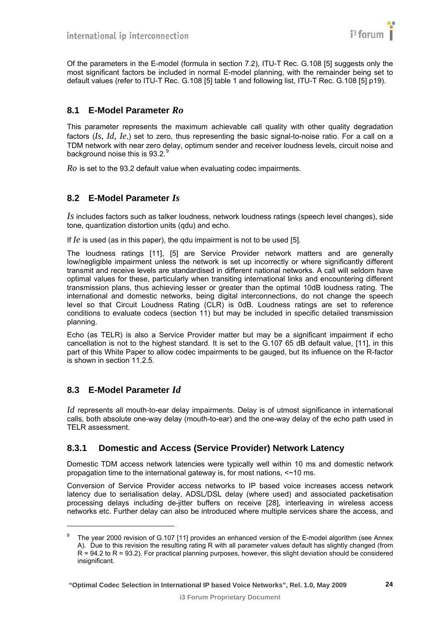<span id="page-23-0"></span>Of the parameters in the E-model (formula in section [7.2](#page-19-1)), ITU-T Rec. G.108 [\[5\]](#page-6-6) suggests only the most significant factors be included in normal E-model planning, with the remainder being set to default values (refer to ITU-T Rec. G.108 [\[5\]](#page-6-6) table 1 and following list, ITU-T Rec. G.108 [\[5\]](#page-6-6) p19).

## <span id="page-23-1"></span>**8.1 E-Model Parameter** *Ro*

This parameter represents the maximum achievable call quality with other quality degradation factors (*Is, Id, Ie*,) set to zero, thus representing the basic signal-to-noise ratio. For a call on a TDM network with near zero delay, optimum sender and receiver loudness levels, circuit noise and background noise this is [9](#page-23-0)3.2. $9$ 

*Ro* is set to the 93.2 default value when evaluating codec impairments.

## <span id="page-23-2"></span>**8.2 E-Model Parameter** *Is*

*Is* includes factors such as talker loudness, network loudness ratings (speech level changes), side tone, quantization distortion units (qdu) and echo.

If *Ie* is used (as in this paper), the qdu impairment is not to be used [\[5\].](#page-6-6)

The loudness ratings [\[11\]](#page-6-27), [\[5\]](#page-6-6) are Service Provider network matters and are generally low/negligible impairment unless the network is set up incorrectly or where significantly different transmit and receive levels are standardised in different national networks. A call will seldom have optimal values for these, particularly when transiting international links and encountering different transmission plans, thus achieving lesser or greater than the optimal 10dB loudness rating. The international and domestic networks, being digital interconnections, do not change the speech level so that Circuit Loudness Rating (CLR) is 0dB. Loudness ratings are set to reference conditions to evaluate codecs (section [11\)](#page-35-2) but may be included in specific detailed transmission planning.

Echo (as TELR) is also a Service Provider matter but may be a significant impairment if echo cancellation is not to the highest standard. It is set to the G.107 65 dB default value, [\[11\],](#page-6-27) in this part of this White Paper to allow codec impairments to be gauged, but its influence on the R-factor is shown in section [11.2.5](#page-39-1).

#### <span id="page-23-3"></span>**8.3 E-Model Parameter** *Id*

l

*Id* represents all mouth-to-ear delay impairments. Delay is of utmost significance in international calls, both absolute one-way delay (mouth-to-ear) and the one-way delay of the echo path used in TELR assessment.

#### <span id="page-23-4"></span>**8.3.1 Domestic and Access (Service Provider) Network Latency**

Domestic TDM access network latencies were typically well within 10 ms and domestic network propagation time to the international gateway is, for most nations, <~10 ms.

Conversion of Service Provider access networks to IP based voice increases access network latency due to serialisation delay, ADSL/DSL delay (where used) and associated packetisation processing delays including de-jitter buffers on receive [\[28\],](#page-7-4) interleaving in wireless access networks etc. Further delay can also be introduced where multiple services share the access, and

<sup>9</sup> The year 2000 revision of G.107 [11] provides an enhanced version of the E-model algorithm (see Annex A). Due to this revision the resulting rating R with all parameter values default has slightly changed (from  $R = 94.2$  to  $R = 93.2$ ). For practical planning purposes, however, this slight deviation should be considered insignificant.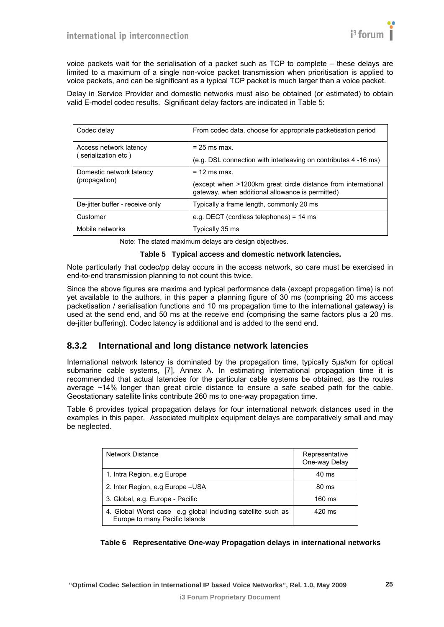<span id="page-24-0"></span>voice packets wait for the serialisation of a packet such as TCP to complete – these delays are limited to a maximum of a single non-voice packet transmission when prioritisation is applied to voice packets, and can be significant as a typical TCP packet is much larger than a voice packet.

Delay in Service Provider and domestic networks must also be obtained (or estimated) to obtain valid E-model codec results. Significant delay factors are indicated in [Table 5:](#page-24-2)

| Codec delay                                  | From codec data, choose for appropriate packetisation period                                                      |  |
|----------------------------------------------|-------------------------------------------------------------------------------------------------------------------|--|
| Access network latency<br>serialization etc) | $= 25$ ms max.                                                                                                    |  |
|                                              | (e.g. DSL connection with interleaving on contributes 4 -16 ms)                                                   |  |
| Domestic network latency                     | $= 12$ ms max.                                                                                                    |  |
| (propagation)                                | (except when >1200km great circle distance from international<br>gateway, when additional allowance is permitted) |  |
| De-jitter buffer - receive only              | Typically a frame length, commonly 20 ms                                                                          |  |
| Customer                                     | e.g. DECT (cordless telephones) = $14$ ms                                                                         |  |
| Mobile networks                              | Typically 35 ms                                                                                                   |  |

Note: The stated maximum delays are design objectives.

#### **Table 5 Typical access and domestic network latencies.**

<span id="page-24-2"></span>Note particularly that codec/pp delay occurs in the access network, so care must be exercised in end-to-end transmission planning to not count this twice.

Since the above figures are maxima and typical performance data (except propagation time) is not yet available to the authors, in this paper a planning figure of 30 ms (comprising 20 ms access packetisation / serialisation functions and 10 ms propagation time to the international gateway) is used at the send end, and 50 ms at the receive end (comprising the same factors plus a 20 ms. de-jitter buffering). Codec latency is additional and is added to the send end.

#### <span id="page-24-1"></span>**8.3.2 International and long distance network latencies**

International network latency is dominated by the propagation time, typically 5μs/km for optical submarine cable systems, [\[7\],](#page-6-8) Annex A. In estimating international propagation time it is recommended that actual latencies for the particular cable systems be obtained, as the routes average ~14% longer than great circle distance to ensure a safe seabed path for the cable. Geostationary satellite links contribute 260 ms to one-way propagation time.

[Table 6](#page-24-3) provides typical propagation delays for four international network distances used in the examples in this paper. Associated multiplex equipment delays are comparatively small and may be neglected.

| <b>Network Distance</b>                                                                       | Representative<br>One-way Delay |
|-----------------------------------------------------------------------------------------------|---------------------------------|
| 1. Intra Region, e.g Europe                                                                   | 40 ms                           |
| 2. Inter Region, e.g Europe - USA                                                             | 80 ms                           |
| 3. Global, e.g. Europe - Pacific                                                              | 160 ms                          |
| 4. Global Worst case e.g global including satellite such as<br>Europe to many Pacific Islands | $420$ ms                        |

<span id="page-24-3"></span>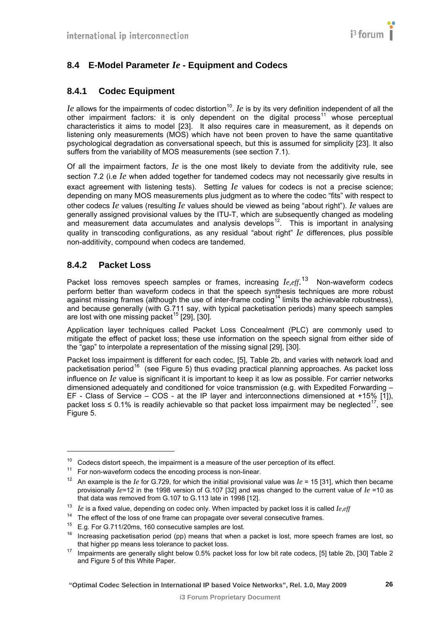## <span id="page-25-1"></span><span id="page-25-0"></span>**8.4 E-Model Parameter** *Ie* **- Equipment and Codecs**

## <span id="page-25-2"></span>**8.4.1 Codec Equipment**

*Ie* allows for the impairments of codec distortion<sup>[10](#page-25-0)</sup>. *Ie* is by its very definition independent of all the other impairment factors: it is only dependent on the digital process<sup>11</sup> whose perceptual characteristics it aims to model [\[23\].](#page-6-26) It also requires care in measurement, as it depends on listening only measurements (MOS) which have not been proven to have the same quantitative psychological degradation as conversational speech, but this is assumed for simplicity [\[23\]](#page-6-26). It also suffers from the variability of MOS measurements (see section [7.1\)](#page-18-2).

Of all the impairment factors, *Ie* is the one most likely to deviate from the additivity rule, see section [7.2](#page-19-1) (i.e *Ie* when added together for tandemed codecs may not necessarily give results in exact agreement with listening tests). Setting *Ie* values for codecs is not a precise science; depending on many MOS measurements plus judgment as to where the codec "fits" with respect to other codecs *Ie* values (resulting *Ie* values should be viewed as being "about right"). *Ie* values are generally assigned provisional values by the ITU-T, which are subsequently changed as modeling and measurement data accumulates and analysis develops<sup>[12](#page-25-0)</sup>. This is important in analysing quality in transcoding configurations, as any residual "about right" *Ie* differences, plus possible non-additivity, compound when codecs are tandemed.

#### <span id="page-25-3"></span>**8.4.2 Packet Loss**

l

Packet loss removes speech samples or frames, increasing  $I_{e, eff}$ <sup>[13](#page-25-0)</sup> Non-waveform codecs perform better than waveform codecs in that the speech synthesis techniques are more robust against missing frames (although the use of inter-frame coding<sup>14</sup> limits the achievable robustness), and because generally (with G.711 say, with typical packetisation periods) many speech samples are lost with one missing packet<sup>[15](#page-25-0)</sup> [\[29\],](#page-7-5) [\[30\]](#page-7-6).

Application layer techniques called Packet Loss Concealment (PLC) are commonly used to mitigate the effect of packet loss; these use information on the speech signal from either side of the "gap" to interpolate a representation of the missing signal [\[29\]](#page-7-5), [\[30\].](#page-7-6)

Packet loss impairment is different for each codec, [\[5\]](#page-6-6), Table 2b, and varies with network load and packetisation period<sup>[16](#page-25-0)</sup> (see [Figure 5](#page-26-2)) thus evading practical planning approaches. As packet loss influence on *Ie* value is significant it is important to keep it as low as possible. For carrier networks dimensioned adequately and conditioned for voice transmission (e.g. with Expedited Forwarding – EF - Class of Service – COS - at the IP layer and interconnections dimensioned at +15% [\[1\]](#page-6-2)), packet loss  $\leq$  0.1% is readily achievable so that packet loss impairment may be neglected<sup>17</sup>, see [Figure 5.](#page-26-2)

<sup>&</sup>lt;sup>10</sup> Codecs distort speech, the impairment is a measure of the user perception of its effect.<br><sup>11</sup> For non-waveform codecs the encoding process is non-linear.

<sup>&</sup>lt;sup>12</sup> An example is the *Ie* for G.729, for which the initial provisional value was  $Ie = 15$  [31], which then became provisionally *Ie*=12 in the 1998 version of G.107 [32] and was changed to the current value of *Ie* =10 as that data was removed from G.107 to G.113 late in 1998 [12].

<sup>&</sup>lt;sup>13</sup> *Ie* is a fixed value, depending on codec only. When impacted by packet loss it is called  $I_{e,eff}$ <sup>14</sup> The effect of the loss of one frame can propagate over several consecutive frames.

<sup>&</sup>lt;sup>15</sup> E.g. For G.711/20ms, 160 consecutive samples are lost.<br><sup>16</sup> Increasing packetisation period (pp) means that when a packet is lost, more speech frames are lost, so that higher pp means less tolerance to packet loss.

 $\frac{17}{17}$  Impairments are generally slight below 0.5% packet loss for low bit rate codecs, [5] table 2b, [30] Table 2 and Figure 5 of this White Paper.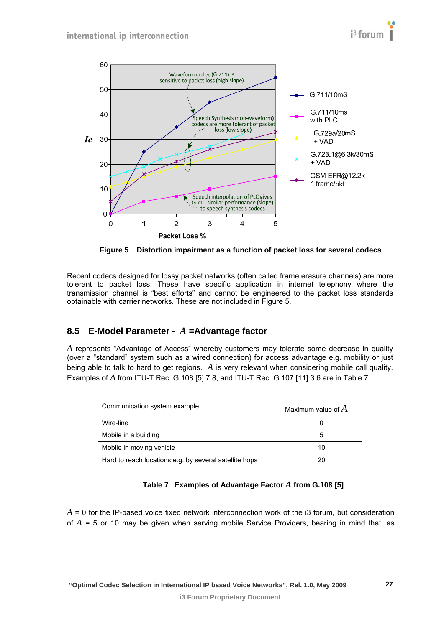<span id="page-26-0"></span>

**Figure 5 Distortion impairment as a function of packet loss for several codecs** 

<span id="page-26-2"></span>Recent codecs designed for lossy packet networks (often called frame erasure channels) are more tolerant to packet loss. These have specific application in internet telephony where the transmission channel is "best efforts" and cannot be engineered to the packet loss standards obtainable with carrier networks. These are not included in [Figure 5.](#page-26-2)

## <span id="page-26-1"></span>**8.5 E-Model Parameter -** *A* **=Advantage factor**

*A* represents "Advantage of Access" whereby customers may tolerate some decrease in quality (over a "standard" system such as a wired connection) for access advantage e.g. mobility or just being able to talk to hard to get regions. *A* is very relevant when considering mobile call quality. Examples of *A* from ITU-T Rec. G.108 [\[5\]](#page-6-6) 7.8, and ITU-T Rec. G.107 [\[11\]](#page-6-27) 3.6 are in [Table 7](#page-26-3).

| Communication system example                           | Maximum value of $A$ |  |
|--------------------------------------------------------|----------------------|--|
| Wire-line                                              |                      |  |
| Mobile in a building                                   |                      |  |
| Mobile in moving vehicle                               | 10                   |  |
| Hard to reach locations e.g. by several satellite hops |                      |  |

#### **Table 7 Examples of Advantage Factor** *A* **from G.108 [\[5\]](#page-6-6)**

<span id="page-26-3"></span>*A* = 0 for the IP-based voice fixed network interconnection work of the i3 forum, but consideration of *A* = 5 or 10 may be given when serving mobile Service Providers, bearing in mind that, as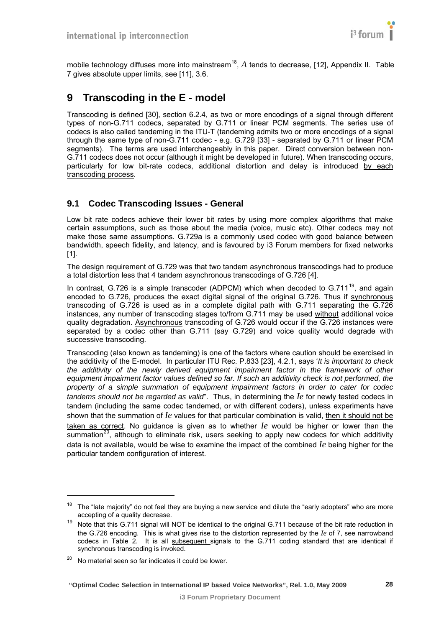

<span id="page-27-0"></span>mobile technology diffuses more into mainstream<sup>18</sup>, A tends to decrease, [\[12\],](#page-6-29) Appendix II. Table [7](#page-26-3) gives absolute upper limits, see [\[11\]](#page-6-27), 3.6.

## <span id="page-27-1"></span>**9 Transcoding in the E - model**

Transcoding is defined [\[30\]](#page-7-6), section 6.2.4, as two or more encodings of a signal through different types of non-G.711 codecs, separated by G.711 or linear PCM segments. The series use of codecs is also called tandeming in the ITU-T (tandeming admits two or more encodings of a signal through the same type of non-G.711 codec - e.g. G.729 [\[33\]](#page-7-7) - separated by G.711 or linear PCM segments). The terms are used interchangeably in this paper. Direct conversion between non-G.711 codecs does not occur (although it might be developed in future). When transcoding occurs, particularly for low bit-rate codecs, additional distortion and delay is introduced by each transcoding process.

#### <span id="page-27-2"></span>**9.1 Codec Transcoding Issues - General**

Low bit rate codecs achieve their lower bit rates by using more complex algorithms that make certain assumptions, such as those about the media (voice, music etc). Other codecs may not make those same assumptions. G.729a is a commonly used codec with good balance between bandwidth, speech fidelity, and latency, and is favoured by i3 Forum members for fixed networks [\[1\].](#page-6-2)

The design requirement of G.729 was that two tandem asynchronous transcodings had to produce a total distortion less that 4 tandem asynchronous transcodings of G.726 [\[4\]](#page-6-5).

In contrast, G.726 is a simple transcoder (ADPCM) which when decoded to G.711 $<sup>19</sup>$  $<sup>19</sup>$  $<sup>19</sup>$ , and again</sup> encoded to G.726, produces the exact digital signal of the original G.726. Thus if synchronous transcoding of G.726 is used as in a complete digital path with G.711 separating the G.726 instances, any number of transcoding stages to/from G.711 may be used without additional voice quality degradation. Asynchronous transcoding of G.726 would occur if the G.726 instances were separated by a codec other than G.711 (say G.729) and voice quality would degrade with successive transcoding.

Transcoding (also known as tandeming) is one of the factors where caution should be exercised in the additivity of the E-model. In particular ITU Rec. P.833 [\[23\],](#page-6-26) 4.2.1, says '*It is important to check the additivity of the newly derived equipment impairment factor in the framework of other equipment impairment factor values defined so far. If such an additivity check is not performed, the property of a simple summation of equipment impairment factors in order to cater for codec tandems should not be regarded as valid*". Thus, in determining the *Ie* for newly tested codecs in tandem (including the same codec tandemed, or with different coders), unless experiments have shown that the summation of *Ie* values for that particular combination is valid, then it should not be taken as correct. No guidance is given as to whether *Ie* would be higher or lower than the summation<sup>20</sup>, although to eliminate risk, users seeking to apply new codecs for which additivity data is not available, would be wise to examine the impact of the combined *Ie* being higher for the particular tandem configuration of interest.

l

 $18$  The "late majority" do not feel they are buying a new service and dilute the "early adopters" who are more accepting of a quality decrease.

<sup>&</sup>lt;sup>19</sup> Note that this G.711 signal will NOT be identical to the original G.711 because of the bit rate reduction in the G.726 encoding. This is what gives rise to the distortion represented by the *Ie* of 7, see narrowband codecs in Table 2. It is all subsequent signals to the G.711 coding standard that are identical if synchronous transcoding is invoked.

 $20$  No material seen so far indicates it could be lower.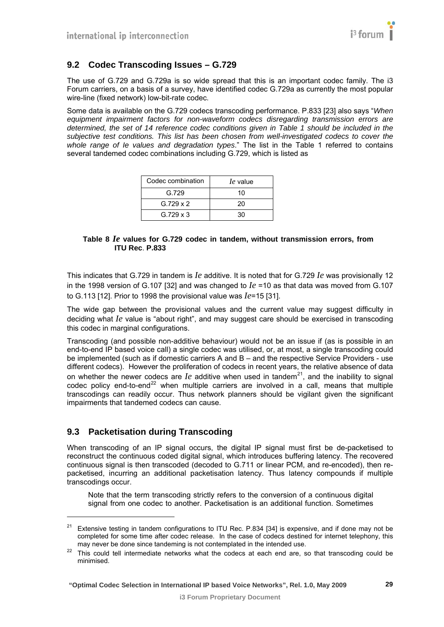#### <span id="page-28-1"></span><span id="page-28-0"></span>**9.2 Codec Transcoding Issues – G.729**

The use of G.729 and G.729a is so wide spread that this is an important codec family. The i3 Forum carriers, on a basis of a survey, have identified codec G.729a as currently the most popular wire-line (fixed network) low-bit-rate codec.

Some data is available on the G.729 codecs transcoding performance. P.833 [\[23\]](#page-6-26) also says "*When equipment impairment factors for non-waveform codecs disregarding transmission errors are determined, the set of 14 reference codec conditions given in Table 1 should be included in the subjective test conditions. This list has been chosen from well-investigated codecs to cover the whole range of Ie values and degradation types*." The list in the Table 1 referred to contains several tandemed codec combinations including G.729, which is listed as

| Codec combination | le value |
|-------------------|----------|
| G.729             | 10       |
| G. $729 \times 2$ | 20       |
| $G.729 \times 3$  | 30       |

#### **Table 8** *Ie* **values for G.729 codec in tandem, without transmission errors, from ITU Rec**. **P.833**

This indicates that G.729 in tandem is *Ie* additive. It is noted that for G.729 *Ie* was provisionally 12 in the 1998 version of G.107 [\[32\]](#page-7-8) and was changed to *Ie* =10 as that data was moved from G.107 to G.113 [\[12\].](#page-6-29) Prior to 1998 the provisional value was *Ie*=15 [\[31\].](#page-7-9)

The wide gap between the provisional values and the current value may suggest difficulty in deciding what *Ie* value is "about right", and may suggest care should be exercised in transcoding this codec in marginal configurations.

Transcoding (and possible non-additive behaviour) would not be an issue if (as is possible in an end-to-end IP based voice call) a single codec was utilised, or, at most, a single transcoding could be implemented (such as if domestic carriers A and B – and the respective Service Providers - use different codecs). However the proliferation of codecs in recent years, the relative absence of data on whether the newer codecs are  $Ie$  additive when used in tandem<sup>[21](#page-28-0)</sup>, and the inability to signal codec policy end-to-end<sup>22</sup> when multiple carriers are involved in a call, means that multiple transcodings can readily occur. Thus network planners should be vigilant given the significant impairments that tandemed codecs can cause.

#### <span id="page-28-2"></span>**9.3 Packetisation during Transcoding**

l

When transcoding of an IP signal occurs, the digital IP signal must first be de-packetised to reconstruct the continuous coded digital signal, which introduces buffering latency. The recovered continuous signal is then transcoded (decoded to G.711 or linear PCM, and re-encoded), then repacketised, incurring an additional packetisation latency. Thus latency compounds if multiple transcodings occur.

Note that the term transcoding strictly refers to the conversion of a continuous digital signal from one codec to another. Packetisation is an additional function. Sometimes

 $21$  Extensive testing in tandem configurations to ITU Rec. P.834 [34] is expensive, and if done may not be completed for some time after codec release. In the case of codecs destined for internet telephony, this may never be done since tandeming is not contemplated in the intended use.

 $22$  This could tell intermediate networks what the codecs at each end are, so that transcoding could be minimised.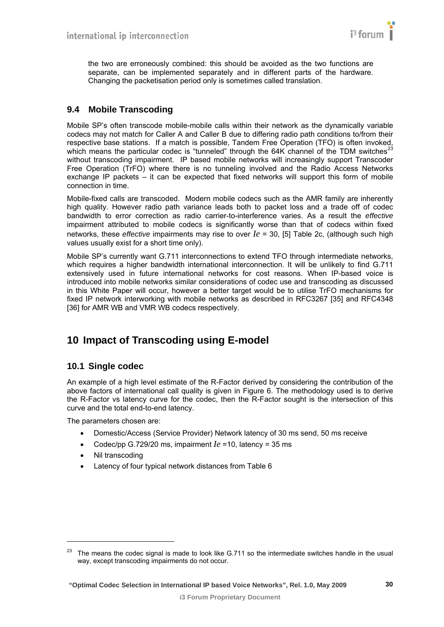<span id="page-29-0"></span>the two are erroneously combined: this should be avoided as the two functions are separate, can be implemented separately and in different parts of the hardware. Changing the packetisation period only is sometimes called translation.

## <span id="page-29-1"></span>**9.4 Mobile Transcoding**

Mobile SP's often transcode mobile-mobile calls within their network as the dynamically variable codecs may not match for Caller A and Caller B due to differing radio path conditions to/from their respective base stations. If a match is possible, Tandem Free Operation (TFO) is often invoked, which means the particular codec is "tunneled" through the 64K channel of the TDM switches<sup>2</sup> without transcoding impairment. IP based mobile networks will increasingly support Transcoder Free Operation (TrFO) where there is no tunneling involved and the Radio Access Networks exchange IP packets – it can be expected that fixed networks will support this form of mobile connection in time.

Mobile-fixed calls are transcoded. Modern mobile codecs such as the AMR family are inherently high quality. However radio path variance leads both to packet loss and a trade off of codec bandwidth to error correction as radio carrier-to-interference varies. As a result the *effective* impairment attributed to mobile codecs is significantly worse than that of codecs within fixed networks, these *effective* impairments may rise to over *Ie* = 30, [\[5\]](#page-6-6) Table 2c, (although such high values usually exist for a short time only).

Mobile SP's currently want G.711 interconnections to extend TFO through intermediate networks, which requires a higher bandwidth international interconnection. It will be unlikely to find G.711 extensively used in future international networks for cost reasons. When IP-based voice is introduced into mobile networks similar considerations of codec use and transcoding as discussed in this White Paper will occur, however a better target would be to utilise TrFO mechanisms for fixed IP network interworking with mobile networks as described in RFC3267 [\[35\]](#page-7-10) and RFC4348 [\[36\]](#page-7-11) for AMR WB and VMR WB codecs respectively.

# <span id="page-29-2"></span>**10 Impact of Transcoding using E-model**

#### <span id="page-29-3"></span>**10.1 Single codec**

An example of a high level estimate of the R-Factor derived by considering the contribution of the above factors of international call quality is given in [Figure 6.](#page-30-0) The methodology used is to derive the R-Factor vs latency curve for the codec, then the R-Factor sought is the intersection of this curve and the total end-to-end latency.

The parameters chosen are:

- Domestic/Access (Service Provider) Network latency of 30 ms send, 50 ms receive
- Codec/pp G.729/20 ms, impairment *Ie* =10, latency = 35 ms
- Nil transcoding

l

• Latency of four typical network distances from [Table 6](#page-24-3) 

 $23$  The means the codec signal is made to look like G.711 so the intermediate switches handle in the usual way, except transcoding impairments do not occur.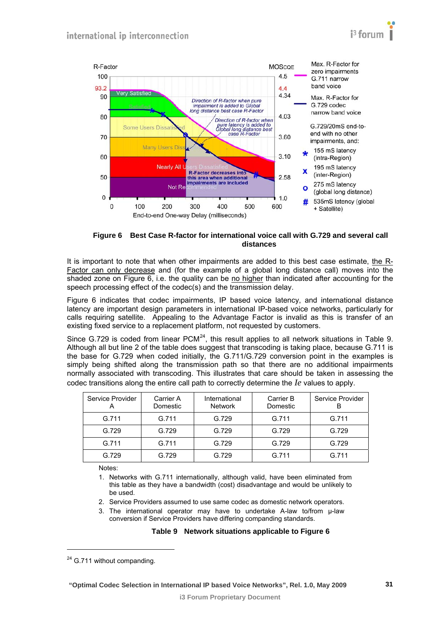<span id="page-30-1"></span>

**Figure 6 Best Case R-factor for international voice call with G.729 and several call distances** 

<span id="page-30-0"></span>It is important to note that when other impairments are added to this best case estimate, the R-Factor can only decrease and (for the example of a global long distance call) moves into the shaded zone on [Figure 6](#page-30-0), i.e. the quality can be no higher than indicated after accounting for the speech processing effect of the codec(s) and the transmission delay.

[Figure 6](#page-30-0) indicates that codec impairments, IP based voice latency, and international distance latency are important design parameters in international IP-based voice networks, particularly for calls requiring satellite. Appealing to the Advantage Factor is invalid as this is transfer of an existing fixed service to a replacement platform, not requested by customers.

Since G.729 is coded from linear  $PCM<sup>24</sup>$  $PCM<sup>24</sup>$  $PCM<sup>24</sup>$ , this result applies to all network situations in [Table 9.](#page-30-2) Although all but line 2 of the table does suggest that transcoding is taking place, because G.711 is the base for G.729 when coded initially, the G.711/G.729 conversion point in the examples is simply being shifted along the transmission path so that there are no additional impairments normally associated with transcoding. This illustrates that care should be taken in assessing the codec transitions along the entire call path to correctly determine the *Ie* values to apply.

| Service Provider | Carrier A<br>Domestic | International<br><b>Network</b> | Carrier B<br>Domestic | Service Provider |
|------------------|-----------------------|---------------------------------|-----------------------|------------------|
| G.711            | G.711                 | G.729                           | G.711                 | G.711            |
| G.729            | G.729                 | G.729                           | G.729                 | G.729            |
| G.711            | G.711                 | G.729                           | G.729                 | G.729            |
| G.729            | G.729                 | G.729                           | G.711                 | G.711            |

Notes:

- 1. Networks with G.711 internationally, although valid, have been eliminated from this table as they have a bandwidth (cost) disadvantage and would be unlikely to be used.
- 2. Service Providers assumed to use same codec as domestic network operators.
- 3. The international operator may have to undertake A-law to/from μ-law conversion if Service Providers have differing companding standards.

#### **Table 9 Network situations applicable to [Figure 6](#page-30-0)**

<span id="page-30-2"></span>l

<sup>&</sup>lt;sup>24</sup> G.711 without companding.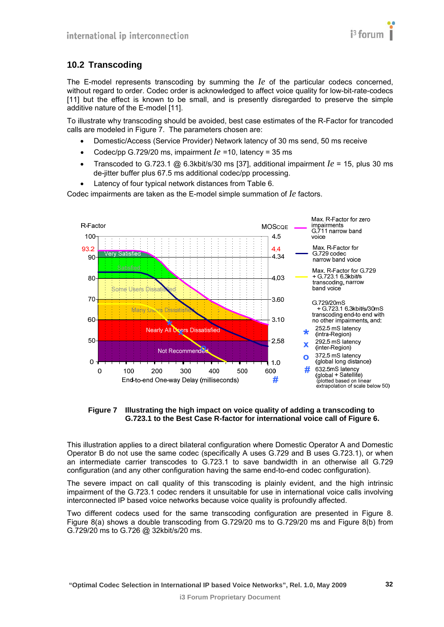

## <span id="page-31-1"></span><span id="page-31-0"></span>**10.2 Transcoding**

The E-model represents transcoding by summing the *Ie* of the particular codecs concerned, without regard to order. Codec order is acknowledged to affect voice quality for low-bit-rate-codecs [\[11\]](#page-6-27) but the effect is known to be small, and is presently disregarded to preserve the simple additive nature of the E-model [\[11\].](#page-6-27)

To illustrate why transcoding should be avoided, best case estimates of the R-Factor for trancoded calls are modeled in [Figure 7](#page-31-2). The parameters chosen are:

- Domestic/Access (Service Provider) Network latency of 30 ms send, 50 ms receive
- Codec/pp G.729/20 ms, impairment *Ie* =10, latency = 35 ms
- Transcoded to G.723.1 @ 6.3kbit/s/30 ms [\[37\],](#page-7-12) additional impairment  $Ie = 15$ , plus 30 ms de-jitter buffer plus 67.5 ms additional codec/pp processing.
- Latency of four typical network distances from [Table 6.](#page-24-3)

Codec impairments are taken as the E-model simple summation of *Ie* factors.



**Figure 7 Illustrating the high impact on voice quality of adding a transcoding to G.723.1 to the Best Case R-factor for international voice call of [Figure 6](#page-30-0).** 

<span id="page-31-2"></span>This illustration applies to a direct bilateral configuration where Domestic Operator A and Domestic Operator B do not use the same codec (specifically A uses G.729 and B uses G.723.1), or when an intermediate carrier transcodes to G.723.1 to save bandwidth in an otherwise all G.729 configuration (and any other configuration having the same end-to-end codec configuration).

The severe impact on call quality of this transcoding is plainly evident, and the high intrinsic impairment of the G.723.1 codec renders it unsuitable for use in international voice calls involving interconnected IP based voice networks because voice quality is profoundly affected.

Two different codecs used for the same transcoding configuration are presented in [Figure 8.](#page-32-0) [Figure 8\(](#page-32-0)a) shows a double transcoding from G.729/20 ms to G.729/20 ms and [Figure 8](#page-32-0)(b) from G.729/20 ms to G.726 @ 32kbit/s/20 ms.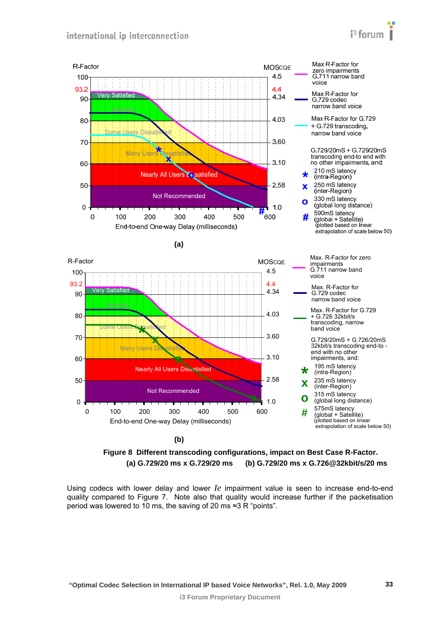





<span id="page-32-0"></span>Using codecs with lower delay and lower *Ie* impairment value is seen to increase end-to-end quality compared to [Figure 7.](#page-31-2) Note also that quality would increase further if the packetisation period was lowered to 10 ms, the saving of 20 ms ≈3 R "points".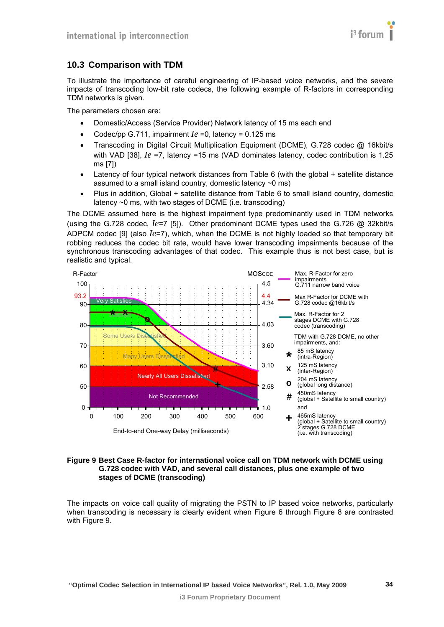

### <span id="page-33-1"></span><span id="page-33-0"></span>**10.3 Comparison with TDM**

To illustrate the importance of careful engineering of IP-based voice networks, and the severe impacts of transcoding low-bit rate codecs, the following example of R-factors in corresponding TDM networks is given.

The parameters chosen are:

- Domestic/Access (Service Provider) Network latency of 15 ms each end
- Codec/pp G.711, impairment  $Ie = 0$ , latency = 0.125 ms
- Transcoding in Digital Circuit Multiplication Equipment (DCME), G.728 codec @ 16kbit/s with VAD [\[38\],](#page-7-13) *Ie* =7, latency =15 ms (VAD dominates latency, codec contribution is 1.25 ms [\[7\]\)](#page-6-8)
- Latency of four typical network distances from [Table 6](#page-24-3) (with the global + satellite distance assumed to a small island country, domestic latency  $\sim$ 0 ms)
- Plus in addition, Global + satellite distance from [Table 6](#page-24-3) to small island country, domestic latency ~0 ms, with two stages of DCME (i.e. transcoding)

The DCME assumed here is the highest impairment type predominantly used in TDM networks (using the G.728 codec, *Ie*=7 [\[5\]\)](#page-6-6). Other predominant DCME types used the G.726 @ 32kbit/s ADPCM codec [\[9\]](#page-6-30) (also *Ie*=7), which, when the DCME is not highly loaded so that temporary bit robbing reduces the codec bit rate, would have lower transcoding impairments because of the synchronous transcoding advantages of that codec. This example thus is not best case, but is realistic and typical.



#### <span id="page-33-2"></span>**Figure 9 Best Case R-factor for international voice call on TDM network with DCME using G.728 codec with VAD, and several call distances, plus one example of two stages of DCME (transcoding)**

The impacts on voice call quality of migrating the PSTN to IP based voice networks, particularly when transcoding is necessary is clearly evident when [Figure 6](#page-30-0) through [Figure 8](#page-32-0) are contrasted with [Figure 9](#page-33-2).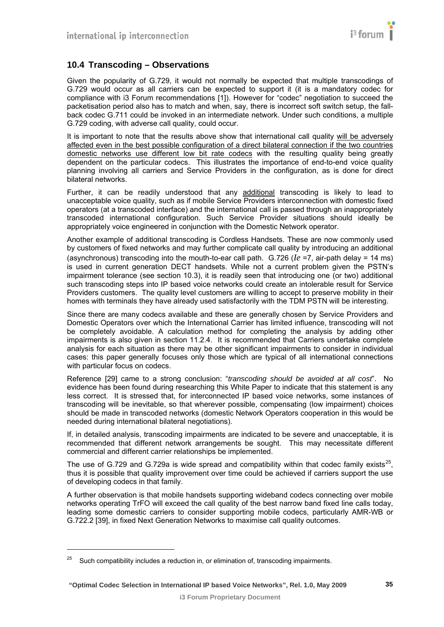## <span id="page-34-1"></span><span id="page-34-0"></span>**10.4 Transcoding – Observations**

Given the popularity of G.729, it would not normally be expected that multiple transcodings of G.729 would occur as all carriers can be expected to support it (it is a mandatory codec for compliance with i3 Forum recommendations [\[1\]](#page-6-2)). However for "codec" negotiation to succeed the packetisation period also has to match and when, say, there is incorrect soft switch setup, the fallback codec G.711 could be invoked in an intermediate network. Under such conditions, a multiple G.729 coding, with adverse call quality, could occur.

It is important to note that the results above show that international call quality will be adversely affected even in the best possible configuration of a direct bilateral connection if the two countries domestic networks use different low bit rate codecs with the resulting quality being greatly dependent on the particular codecs. This illustrates the importance of end-to-end voice quality planning involving all carriers and Service Providers in the configuration, as is done for direct bilateral networks.

Further, it can be readily understood that any additional transcoding is likely to lead to unacceptable voice quality, such as if mobile Service Providers interconnection with domestic fixed operators (at a transcoded interface) and the international call is passed through an inappropriately transcoded international configuration. Such Service Provider situations should ideally be appropriately voice engineered in conjunction with the Domestic Network operator.

Another example of additional transcoding is Cordless Handsets. These are now commonly used by customers of fixed networks and may further complicate call quality by introducing an additional (asynchronous) transcoding into the mouth-to-ear call path. G.726 (*Ie* =7, air-path delay = 14 ms) is used in current generation DECT handsets. While not a current problem given the PSTN's impairment tolerance (see section [10.3\)](#page-33-1), it is readily seen that introducing one (or two) additional such transcoding steps into IP based voice networks could create an intolerable result for Service Providers customers. The quality level customers are willing to accept to preserve mobility in their homes with terminals they have already used satisfactorily with the TDM PSTN will be interesting.

Since there are many codecs available and these are generally chosen by Service Providers and Domestic Operators over which the International Carrier has limited influence, transcoding will not be completely avoidable. A calculation method for completing the analysis by adding other impairments is also given in section [11.2.4](#page-38-2). It is recommended that Carriers undertake complete analysis for each situation as there may be other significant impairments to consider in individual cases: this paper generally focuses only those which are typical of all international connections with particular focus on codecs.

Reference [\[29\]](#page-7-5) came to a strong conclusion: "*transcoding should be avoided at all cost*". No evidence has been found during researching this White Paper to indicate that this statement is any less correct. It is stressed that, for interconnected IP based voice networks, some instances of transcoding will be inevitable, so that wherever possible, compensating (low impairment) choices should be made in transcoded networks (domestic Network Operators cooperation in this would be needed during international bilateral negotiations).

If, in detailed analysis, transcoding impairments are indicated to be severe and unacceptable, it is recommended that different network arrangements be sought. This may necessitate different commercial and different carrier relationships be implemented.

The use of G.729 and G.729a is wide spread and compatibility within that codec family exists<sup>25</sup>. thus it is possible that quality improvement over time could be achieved if carriers support the use of developing codecs in that family.

A further observation is that mobile handsets supporting wideband codecs connecting over mobile networks operating TrFO will exceed the call quality of the best narrow band fixed line calls today, leading some domestic carriers to consider supporting mobile codecs, particularly AMR-WB or G.722.2 [\[39\],](#page-7-14) in fixed Next Generation Networks to maximise call quality outcomes.

l

<sup>&</sup>lt;sup>25</sup> Such compatibility includes a reduction in, or elimination of, transcoding impairments.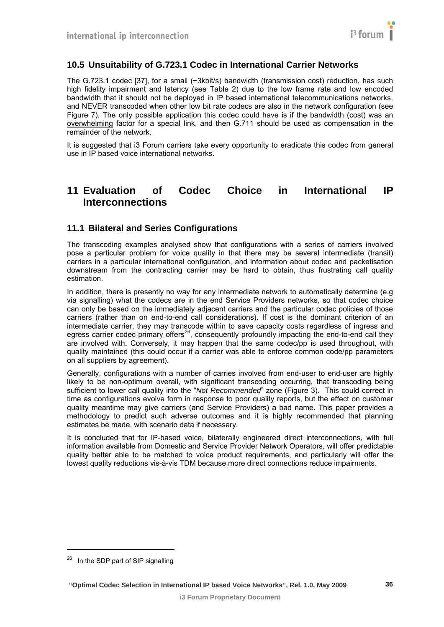## <span id="page-35-1"></span><span id="page-35-0"></span>**10.5 Unsuitability of G.723.1 Codec in International Carrier Networks**

The G.723.1 codec [\[37\]](#page-7-12), for a small (~3kbit/s) bandwidth (transmission cost) reduction, has such high fidelity impairment and latency (see [Table 2\)](#page-17-0) due to the low frame rate and low encoded bandwidth that it should not be deployed in IP based international telecommunications networks, and NEVER transcoded when other low bit rate codecs are also in the network configuration (see [Figure 7\)](#page-31-2). The only possible application this codec could have is if the bandwidth (cost) was an overwhelming factor for a special link, and then G.711 should be used as compensation in the remainder of the network.

It is suggested that i3 Forum carriers take every opportunity to eradicate this codec from general use in IP based voice international networks.

# <span id="page-35-2"></span>**11 Evaluation of Codec Choice in International IP Interconnections**

#### <span id="page-35-3"></span>**11.1 Bilateral and Series Configurations**

The transcoding examples analysed show that configurations with a series of carriers involved pose a particular problem for voice quality in that there may be several intermediate (transit) carriers in a particular international configuration, and information about codec and packetisation downstream from the contracting carrier may be hard to obtain, thus frustrating call quality estimation.

In addition, there is presently no way for any intermediate network to automatically determine (e.g. via signalling) what the codecs are in the end Service Providers networks, so that codec choice can only be based on the immediately adjacent carriers and the particular codec policies of those carriers (rather than on end-to-end call considerations). If cost is the dominant criterion of an intermediate carrier, they may transcode within to save capacity costs regardless of ingress and egress carrier codec primary offers<sup>[26](#page-35-0)</sup>, consequently profoundly impacting the end-to-end call they are involved with. Conversely, it may happen that the same codec/pp is used throughout, with quality maintained (this could occur if a carrier was able to enforce common code/pp parameters on all suppliers by agreement).

Generally, configurations with a number of carries involved from end-user to end-user are highly likely to be non-optimum overall, with significant transcoding occurring, that transcoding being sufficient to lower call quality into the "*Not Recommended*" zone [\(Figure 3\)](#page-20-3). This could correct in time as configurations evolve form in response to poor quality reports, but the effect on customer quality meantime may give carriers (and Service Providers) a bad name. This paper provides a methodology to predict such adverse outcomes and it is highly recommended that planning estimates be made, with scenario data if necessary.

It is concluded that for IP-based voice, bilaterally engineered direct interconnections, with full information available from Domestic and Service Provider Network Operators, will offer predictable quality better able to be matched to voice product requirements, and particularly will offer the lowest quality reductions vis-à-vis TDM because more direct connections reduce impairments.

l

<sup>&</sup>lt;sup>26</sup> In the SDP part of SIP signalling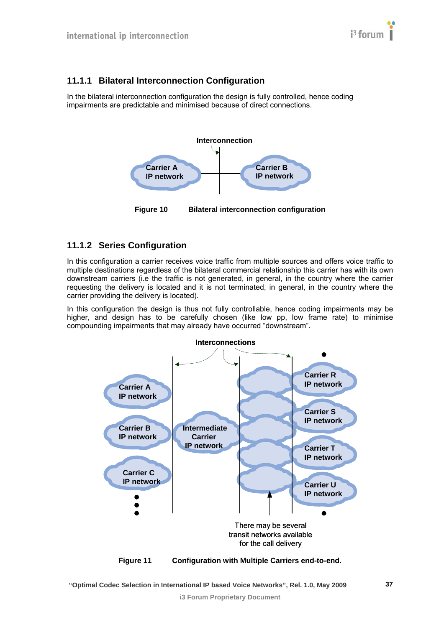## <span id="page-36-1"></span><span id="page-36-0"></span>**11.1.1 Bilateral Interconnection Configuration**

In the bilateral interconnection configuration the design is fully controlled, hence coding impairments are predictable and minimised because of direct connections.



#### **Figure 10 Bilateral interconnection configuration**

## <span id="page-36-2"></span>**11.1.2 Series Configuration**

In this configuration a carrier receives voice traffic from multiple sources and offers voice traffic to multiple destinations regardless of the bilateral commercial relationship this carrier has with its own downstream carriers (i.e the traffic is not generated, in general, in the country where the carrier requesting the delivery is located and it is not terminated, in general, in the country where the carrier providing the delivery is located).

In this configuration the design is thus not fully controllable, hence coding impairments may be higher, and design has to be carefully chosen (like low pp, low frame rate) to minimise compounding impairments that may already have occurred "downstream".



 **"Optimal Codec Selection in International IP based Voice Networks", Rel. 1.0, May 2009**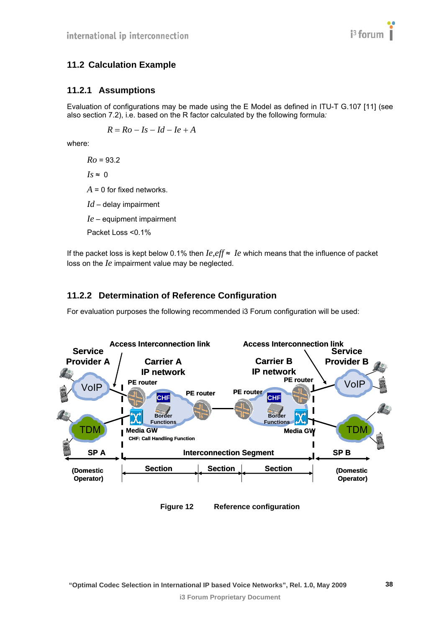## <span id="page-37-1"></span><span id="page-37-0"></span>**11.2 Calculation Example**

#### <span id="page-37-2"></span>**11.2.1 Assumptions**

Evaluation of configurations may be made using the E Model as defined in ITU-T G.107 [\[11\]](#page-6-27) (see also section [7.2](#page-19-1)), i.e. based on the R factor calculated by the following formula*:* 

$$
R = Ro - Is - Id - Ie + A
$$

where:

*Ro* = 93.2  $Is \approx 0$ *A* = 0 for fixed networks. *Id* – delay impairment *Ie* – equipment impairment Packet Loss <0.1%

If the packet loss is kept below 0.1% then  $Ie,$  eff ≈  $Ie$  which means that the influence of packet loss on the *Ie* impairment value may be neglected.

## **11.2.2 Determination of Reference Configuration**

For evaluation purposes the following recommended i3 Forum configuration will be used:

<span id="page-37-3"></span>

**Figure 12 Reference configuration**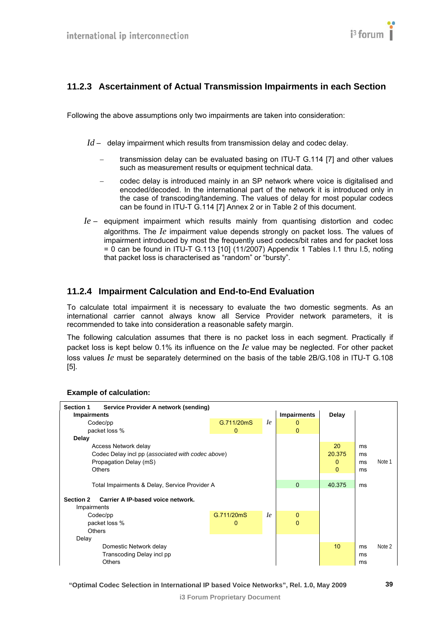## <span id="page-38-1"></span><span id="page-38-0"></span>**11.2.3 Ascertainment of Actual Transmission Impairments in each Section**

Following the above assumptions only two impairments are taken into consideration:

- *Id* delay impairment which results from transmission delay and codec delay.
	- transmission delay can be evaluated basing on ITU-T G.114 [\[7\]](#page-6-8) and other values such as measurement results or equipment technical data.
	- − codec delay is introduced mainly in an SP network where voice is digitalised and encoded/decoded. In the international part of the network it is introduced only in the case of transcoding/tandeming. The values of delay for most popular codecs can be found in ITU-T G.114 [\[7\]](#page-6-8) Annex 2 or in [Table 2](#page-17-0) of this document.
- *Ie* equipment impairment which results mainly from quantising distortion and codec algorithms. The *Ie* impairment value depends strongly on packet loss. The values of impairment introduced by most the frequently used codecs/bit rates and for packet loss  $= 0$  can be found in ITU-T G.113 [\[10\]](#page-6-28) (11/2007) Appendix 1 Tables I.1 thru I.5, noting that packet loss is characterised as "random" or "bursty".

## <span id="page-38-2"></span>**11.2.4 Impairment Calculation and End-to-End Evaluation**

To calculate total impairment it is necessary to evaluate the two domestic segments. As an international carrier cannot always know all Service Provider network parameters, it is recommended to take into consideration a reasonable safety margin.

The following calculation assumes that there is no packet loss in each segment. Practically if packet loss is kept below 0.1% its influence on the *Ie* value may be neglected. For other packet loss values *Ie* must be separately determined on the basis of the table 2B/G.108 in ITU-T G.108 [\[5\].](#page-6-6)



#### **Example of calculation:**

 **"Optimal Codec Selection in International IP based Voice Networks", Rel. 1.0, May 2009**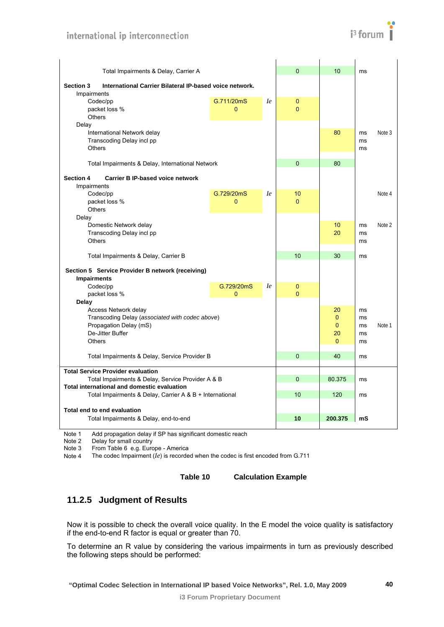

<span id="page-39-0"></span>

| Total Impairments & Delay, Carrier A                                        |              |           | $\overline{0}$ | 10             | ms       |        |
|-----------------------------------------------------------------------------|--------------|-----------|----------------|----------------|----------|--------|
| <b>Section 3</b><br>International Carrier Bilateral IP-based voice network. |              |           |                |                |          |        |
| Impairments                                                                 |              |           |                |                |          |        |
| Codec/pp                                                                    | G.711/20mS   | <i>le</i> | $\bf{0}$       |                |          |        |
| packet loss %                                                               | $\mathbf{0}$ |           | $\overline{0}$ |                |          |        |
| <b>Others</b>                                                               |              |           |                |                |          |        |
| Delay                                                                       |              |           |                |                |          |        |
| International Network delay                                                 |              |           |                | 80             | ms       | Note 3 |
| Transcoding Delay incl pp<br><b>Others</b>                                  |              |           |                |                | ms<br>ms |        |
|                                                                             |              |           |                |                |          |        |
| Total Impairments & Delay, International Network                            |              |           | $\Omega$       | 80             |          |        |
|                                                                             |              |           |                |                |          |        |
| <b>Section 4</b><br><b>Carrier B IP-based voice network</b>                 |              |           |                |                |          |        |
| Impairments                                                                 |              |           |                |                |          |        |
| Codec/pp                                                                    | G.729/20mS   | <i>le</i> | 10             |                |          | Note 4 |
| packet loss %<br><b>Others</b>                                              | $\Omega$     |           | $\Omega$       |                |          |        |
| Delay                                                                       |              |           |                |                |          |        |
| Domestic Network delay                                                      |              |           |                | 10             | ms       | Note 2 |
| Transcoding Delay incl pp                                                   |              |           |                | 20             | ms       |        |
| <b>Others</b>                                                               |              |           |                |                | ms       |        |
|                                                                             |              |           |                |                |          |        |
| Total Impairments & Delay, Carrier B                                        |              |           | 10             | 30             | ms       |        |
|                                                                             |              |           |                |                |          |        |
| Section 5 Service Provider B network (receiving)<br><b>Impairments</b>      |              |           |                |                |          |        |
| Codec/pp                                                                    | G.729/20mS   | <i>le</i> | $\mathbf{0}$   |                |          |        |
| packet loss %                                                               | $\mathbf{0}$ |           | $\overline{0}$ |                |          |        |
| Delay                                                                       |              |           |                |                |          |        |
| Access Network delay                                                        |              |           |                | 20             | ms       |        |
| Transcoding Delay (associated with codec above)                             |              |           |                | $\Omega$       | ms       |        |
| Propagation Delay (mS)                                                      |              |           |                | $\Omega$       | ms       | Note 1 |
| De-Jitter Buffer                                                            |              |           |                | 20             | ms       |        |
| <b>Others</b>                                                               |              |           |                | $\overline{0}$ | ms       |        |
|                                                                             |              |           | $\mathbf{0}$   | 40             |          |        |
| Total Impairments & Delay, Service Provider B                               |              |           |                |                | ms       |        |
| <b>Total Service Provider evaluation</b>                                    |              |           |                |                |          |        |
| Total Impairments & Delay, Service Provider A & B                           |              |           | $\mathbf{0}$   | 80.375         | ms       |        |
| Total international and domestic evaluation                                 |              |           |                |                |          |        |
| Total Impairments & Delay, Carrier A & B + International                    |              |           | 10             | 120            | ms       |        |
|                                                                             |              |           |                |                |          |        |
| Total end to end evaluation                                                 |              |           |                |                |          |        |
| Total Impairments & Delay, end-to-end                                       |              |           | 10             | 200.375        | mS       |        |

Note 1 Add propagation delay if SP has significant domestic reach

Note 2 Delay for small country

Note 3 From Table 6 e.g. Europe - America<br>Note 4 The codec Impairment  $(Ie)$  is recorde

The codec Impairment  $\dot{I}e$ ) is recorded when the codec is first encoded from G.711

**Table 10 Calculation Example** 

## <span id="page-39-1"></span>**11.2.5 Judgment of Results**

Now it is possible to check the overall voice quality. In the E model the voice quality is satisfactory if the end-to-end R factor is equal or greater than 70.

To determine an R value by considering the various impairments in turn as previously described the following steps should be performed: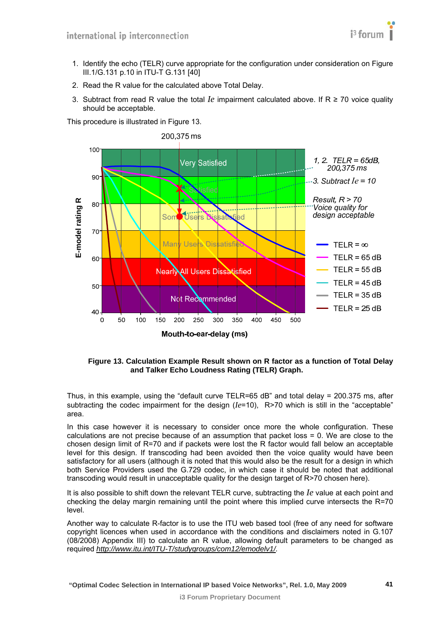

- 1. Identify the echo (TELR) curve appropriate for the configuration under consideration on Figure III.1/G.131 p.10 in ITU-T G.131 [\[40\]](#page-7-15)
- 2. Read the R value for the calculated above Total Delay.
- 3. Subtract from read R value the total *Ie* impairment calculated above. If R ≥ 70 voice quality should be acceptable.

This procedure is illustrated in [Figure 13.](#page-40-0)



**Figure 13. Calculation Example Result shown on R factor as a function of Total Delay and Talker Echo Loudness Rating (TELR) Graph.** 

<span id="page-40-0"></span>Thus, in this example, using the "default curve TELR=65 dB" and total delay = 200.375 ms, after subtracting the codec impairment for the design (*Ie*=10), R>70 which is still in the "acceptable" area.

In this case however it is necessary to consider once more the whole configuration. These calculations are not precise because of an assumption that packet loss = 0. We are close to the chosen design limit of R=70 and if packets were lost the R factor would fall below an acceptable level for this design. If transcoding had been avoided then the voice quality would have been satisfactory for all users (although it is noted that this would also be the result for a design in which both Service Providers used the G.729 codec, in which case it should be noted that additional transcoding would result in unacceptable quality for the design target of R>70 chosen here).

It is also possible to shift down the relevant TELR curve, subtracting the *Ie* value at each point and checking the delay margin remaining until the point where this implied curve intersects the R=70 level.

Another way to calculate R-factor is to use the ITU web based tool (free of any need for software copyright licences when used in accordance with the conditions and disclaimers noted in G.107 (08/2008) Appendix III) to calculate an R value, allowing default parameters to be changed as required *[http://www.itu.int/ITU-T/studygroups/com12/emodelv1/.](http://www.itu.int/ITU-T/studygroups/com12/emodelv1/)*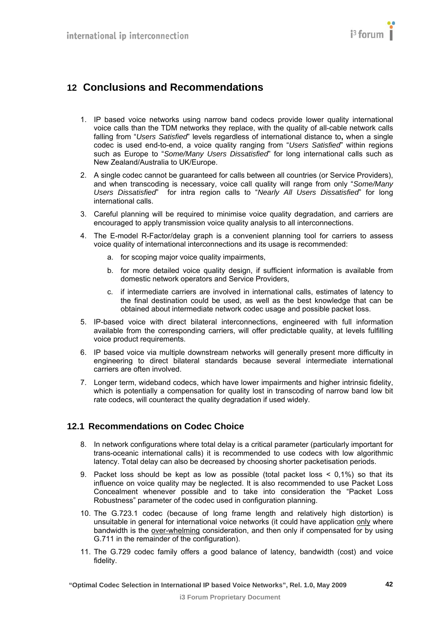# <span id="page-41-1"></span><span id="page-41-0"></span>**12 Conclusions and Recommendations**

- 1. IP based voice networks using narrow band codecs provide lower quality international voice calls than the TDM networks they replace, with the quality of all-cable network calls falling from "*Users Satisfied*" levels regardless of international distance to**,** when a single codec is used end-to-end, a voice quality ranging from "*Users Satisfied*" within regions such as Europe to "*Some/Many Users Dissatisfied*" for long international calls such as New Zealand/Australia to UK/Europe.
- 2. A single codec cannot be guaranteed for calls between all countries (or Service Providers), and when transcoding is necessary, voice call quality will range from only "*Some/Many Users Dissatisfied*" for intra region calls to "*Nearly All Users Dissatisfied*" for long international calls.
- 3. Careful planning will be required to minimise voice quality degradation, and carriers are encouraged to apply transmission voice quality analysis to all interconnections.
- 4. The E-model R-Factor/delay graph is a convenient planning tool for carriers to assess voice quality of international interconnections and its usage is recommended:
	- a. for scoping major voice quality impairments,
	- b. for more detailed voice quality design, if sufficient information is available from domestic network operators and Service Providers,
	- c. if intermediate carriers are involved in international calls, estimates of latency to the final destination could be used, as well as the best knowledge that can be obtained about intermediate network codec usage and possible packet loss.
- 5. IP-based voice with direct bilateral interconnections, engineered with full information available from the corresponding carriers, will offer predictable quality, at levels fulfilling voice product requirements.
- 6. IP based voice via multiple downstream networks will generally present more difficulty in engineering to direct bilateral standards because several intermediate international carriers are often involved.
- 7. Longer term, wideband codecs, which have lower impairments and higher intrinsic fidelity, which is potentially a compensation for quality lost in transcoding of narrow band low bit rate codecs, will counteract the quality degradation if used widely.

#### <span id="page-41-2"></span>**12.1 Recommendations on Codec Choice**

- 8. In network configurations where total delay is a critical parameter (particularly important for trans-oceanic international calls) it is recommended to use codecs with low algorithmic latency. Total delay can also be decreased by choosing shorter packetisation periods.
- 9. Packet loss should be kept as low as possible (total packet loss  $< 0.1\%$ ) so that its influence on voice quality may be neglected. It is also recommended to use Packet Loss Concealment whenever possible and to take into consideration the "Packet Loss Robustness" parameter of the codec used in configuration planning.
- 10. The G.723.1 codec (because of long frame length and relatively high distortion) is unsuitable in general for international voice networks (it could have application only where bandwidth is the over-whelming consideration, and then only if compensated for by using G.711 in the remainder of the configuration).
- 11. The G.729 codec family offers a good balance of latency, bandwidth (cost) and voice fidelity.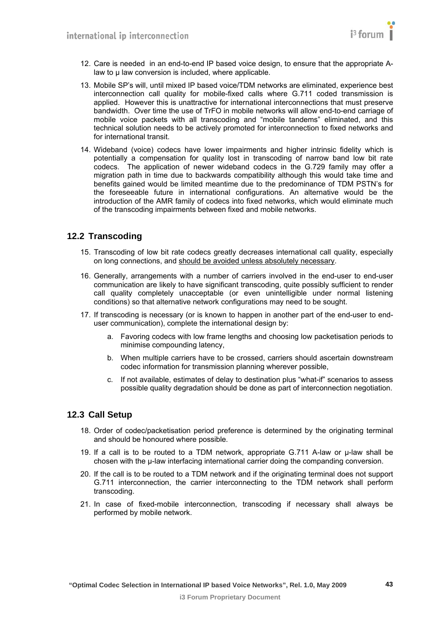- <span id="page-42-0"></span>12. Care is needed in an end-to-end IP based voice design, to ensure that the appropriate Alaw to μ law conversion is included, where applicable.
- 13. Mobile SP's will, until mixed IP based voice/TDM networks are eliminated, experience best interconnection call quality for mobile-fixed calls where G.711 coded transmission is applied. However this is unattractive for international interconnections that must preserve bandwidth. Over time the use of TrFO in mobile networks will allow end-to-end carriage of mobile voice packets with all transcoding and "mobile tandems" eliminated, and this technical solution needs to be actively promoted for interconnection to fixed networks and for international transit.
- 14. Wideband (voice) codecs have lower impairments and higher intrinsic fidelity which is potentially a compensation for quality lost in transcoding of narrow band low bit rate codecs. The application of newer wideband codecs in the G.729 family may offer a migration path in time due to backwards compatibility although this would take time and benefits gained would be limited meantime due to the predominance of TDM PSTN's for the foreseeable future in international configurations. An alternative would be the introduction of the AMR family of codecs into fixed networks, which would eliminate much of the transcoding impairments between fixed and mobile networks.

#### <span id="page-42-1"></span>**12.2 Transcoding**

- 15. Transcoding of low bit rate codecs greatly decreases international call quality, especially on long connections, and should be avoided unless absolutely necessary.
- 16. Generally, arrangements with a number of carriers involved in the end-user to end-user communication are likely to have significant transcoding, quite possibly sufficient to render call quality completely unacceptable (or even unintelligible under normal listening conditions) so that alternative network configurations may need to be sought.
- 17. If transcoding is necessary (or is known to happen in another part of the end-user to enduser communication), complete the international design by:
	- a. Favoring codecs with low frame lengths and choosing low packetisation periods to minimise compounding latency,
	- b. When multiple carriers have to be crossed, carriers should ascertain downstream codec information for transmission planning wherever possible,
	- c. If not available, estimates of delay to destination plus "what-if" scenarios to assess possible quality degradation should be done as part of interconnection negotiation.

#### <span id="page-42-2"></span>**12.3 Call Setup**

- 18. Order of codec/packetisation period preference is determined by the originating terminal and should be honoured where possible.
- 19. If a call is to be routed to a TDM network, appropriate G.711 A-law or μ-law shall be chosen with the μ-law interfacing international carrier doing the companding conversion.
- 20. If the call is to be routed to a TDM network and if the originating terminal does not support G.711 interconnection, the carrier interconnecting to the TDM network shall perform transcoding.
- 21. In case of fixed-mobile interconnection, transcoding if necessary shall always be performed by mobile network.